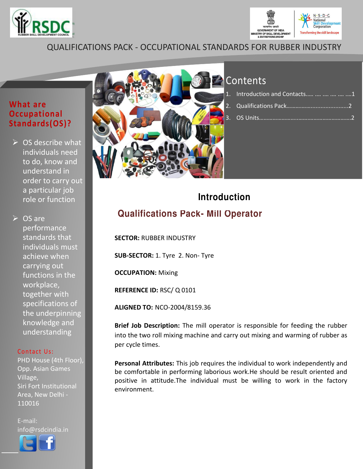



## **QUALIFICATIONS PACK - OCCUPATIONAL STANDARDS FOR RUBBER INDUSTRY**

### **What are Occupational** Standards(OS)?

 $\triangleright$  OS describe what individuals need to do, know and understand in order to carry out a particular job role or function

 $\triangleright$  OS are performance standards that individuals must achieve when carrying out functions in the workplace, together with specifications of the underpinning knowledge and understanding

### Contact Us:

PHD House (4th Floor), Opp. Asian Games Village, Siri Fort Institutional Area, New Delhi -110016

E-mail: info@rsdcindia.in





# Contents

| Introduction and Contacts      1 |  |
|----------------------------------|--|
|                                  |  |
|                                  |  |

# **Introduction Qualifications Pack- Mill Operator**

**SECTOR: RUBBER INDUSTRY** 

SUB-SECTOR: 1. Tyre 2. Non- Tyre

**OCCUPATION: Mixing** 

REFERENCE ID: RSC/Q0101

**ALIGNED TO: NCO-2004/8159.36** 

Brief Job Description: The mill operator is responsible for feeding the rubber into the two roll mixing machine and carry out mixing and warming of rubber as per cycle times.

Personal Attributes: This job requires the individual to work independently and be comfortable in performing laborious work. He should be result oriented and positive in attitude. The individual must be willing to work in the factory environment.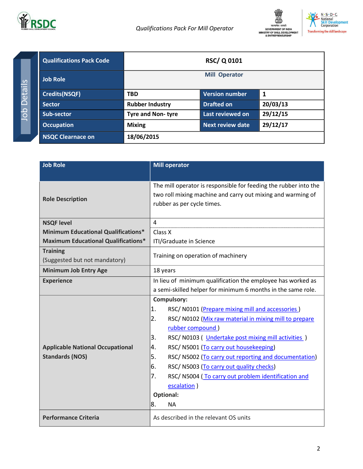

RSC/Q0101

**Mill Operator** 

**Version number** 

Last reviewed on

**Next review date** 

**Drafted on** 

 $\mathbf 1$ 

20/03/13

29/12/15

29/12/17



**Qualifications Pack Code Job Role Credits(NSQF) TBD Sector Rubber Industry** Sub-sector Tyre and Non-tyre **Occupation Mixing** 

18/06/2015

| <b>Job Role</b>                                  | <b>Mill operator</b>                                                                                                                                          |  |
|--------------------------------------------------|---------------------------------------------------------------------------------------------------------------------------------------------------------------|--|
| <b>Role Description</b>                          | The mill operator is responsible for feeding the rubber into the<br>two roll mixing machine and carry out mixing and warming of<br>rubber as per cycle times. |  |
| <b>NSQF level</b>                                | 4                                                                                                                                                             |  |
| <b>Minimum Educational Qualifications*</b>       | Class X                                                                                                                                                       |  |
| <b>Maximum Educational Qualifications*</b>       | ITI/Graduate in Science                                                                                                                                       |  |
| <b>Training</b><br>(Suggested but not mandatory) | Training on operation of machinery                                                                                                                            |  |
| <b>Minimum Job Entry Age</b>                     | 18 years                                                                                                                                                      |  |
| <b>Experience</b>                                | In lieu of minimum qualification the employee has worked as                                                                                                   |  |
|                                                  | a semi-skilled helper for minimum 6 months in the same role.                                                                                                  |  |
|                                                  | Compulsory:                                                                                                                                                   |  |
|                                                  | 1.<br>RSC/N0101 (Prepare mixing mill and accessories)                                                                                                         |  |
|                                                  | 2.<br>RSC/ N0102 (Mix raw material in mixing mill to prepare                                                                                                  |  |
|                                                  | rubber compound)                                                                                                                                              |  |
|                                                  | RSC/N0103 (Undertake post mixing mill activities)<br>3.                                                                                                       |  |
| <b>Applicable National Occupational</b>          | RSC/ N5001 (To carry out housekeeping)<br>4.                                                                                                                  |  |
| <b>Standards (NOS)</b>                           | 5.<br>RSC/N5002 (To carry out reporting and documentation)                                                                                                    |  |
|                                                  | 6.<br>RSC/ N5003 (To carry out quality checks)                                                                                                                |  |
|                                                  | 7.<br>RSC/N5004 (To carry out problem identification and                                                                                                      |  |
|                                                  | escalation)                                                                                                                                                   |  |
|                                                  | <b>Optional:</b>                                                                                                                                              |  |
|                                                  | 8.<br><b>NA</b>                                                                                                                                               |  |
| <b>Performance Criteria</b>                      | As described in the relevant OS units                                                                                                                         |  |

**NSQC Clearnace on**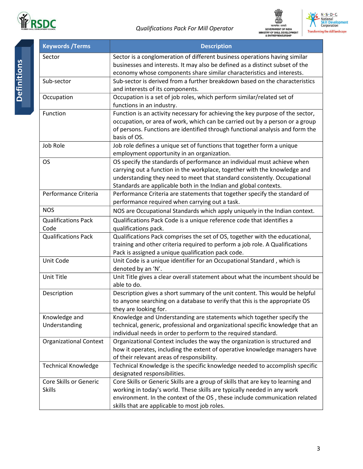





| <b>Keywords / Terms</b>       | <b>Description</b>                                                                                                                                         |
|-------------------------------|------------------------------------------------------------------------------------------------------------------------------------------------------------|
| Sector                        | Sector is a conglomeration of different business operations having similar<br>businesses and interests. It may also be defined as a distinct subset of the |
|                               | economy whose components share similar characteristics and interests.                                                                                      |
| Sub-sector                    | Sub-sector is derived from a further breakdown based on the characteristics<br>and interests of its components.                                            |
| Occupation                    | Occupation is a set of job roles, which perform similar/related set of                                                                                     |
|                               | functions in an industry.                                                                                                                                  |
| Function                      | Function is an activity necessary for achieving the key purpose of the sector,                                                                             |
|                               | occupation, or area of work, which can be carried out by a person or a group                                                                               |
|                               | of persons. Functions are identified through functional analysis and form the                                                                              |
|                               | basis of OS.                                                                                                                                               |
| Job Role                      | Job role defines a unique set of functions that together form a unique                                                                                     |
|                               | employment opportunity in an organization.                                                                                                                 |
| <b>OS</b>                     | OS specify the standards of performance an individual must achieve when                                                                                    |
|                               | carrying out a function in the workplace, together with the knowledge and                                                                                  |
|                               | understanding they need to meet that standard consistently. Occupational                                                                                   |
|                               | Standards are applicable both in the Indian and global contexts.                                                                                           |
| Performance Criteria          | Performance Criteria are statements that together specify the standard of                                                                                  |
|                               | performance required when carrying out a task.                                                                                                             |
| <b>NOS</b>                    | NOS are Occupational Standards which apply uniquely in the Indian context.                                                                                 |
| <b>Qualifications Pack</b>    | Qualifications Pack Code is a unique reference code that identifies a                                                                                      |
| Code                          | qualifications pack.                                                                                                                                       |
| <b>Qualifications Pack</b>    | Qualifications Pack comprises the set of OS, together with the educational,                                                                                |
|                               | training and other criteria required to perform a job role. A Qualifications                                                                               |
|                               | Pack is assigned a unique qualification pack code.                                                                                                         |
| Unit Code                     | Unit Code is a unique identifier for an Occupational Standard, which is<br>denoted by an 'N'.                                                              |
| Unit Title                    | Unit Title gives a clear overall statement about what the incumbent should be<br>able to do.                                                               |
| Description                   | Description gives a short summary of the unit content. This would be helpful                                                                               |
|                               | to anyone searching on a database to verify that this is the appropriate OS                                                                                |
|                               | they are looking for.                                                                                                                                      |
| Knowledge and                 | Knowledge and Understanding are statements which together specify the                                                                                      |
| Understanding                 | technical, generic, professional and organizational specific knowledge that an                                                                             |
|                               | individual needs in order to perform to the required standard.                                                                                             |
| <b>Organizational Context</b> | Organizational Context includes the way the organization is structured and                                                                                 |
|                               | how it operates, including the extent of operative knowledge managers have                                                                                 |
|                               | of their relevant areas of responsibility.                                                                                                                 |
| <b>Technical Knowledge</b>    | Technical Knowledge is the specific knowledge needed to accomplish specific                                                                                |
|                               | designated responsibilities.                                                                                                                               |
| Core Skills or Generic        | Core Skills or Generic Skills are a group of skills that are key to learning and                                                                           |
| <b>Skills</b>                 | working in today's world. These skills are typically needed in any work                                                                                    |
|                               | environment. In the context of the OS, these include communication related                                                                                 |
|                               | skills that are applicable to most job roles.                                                                                                              |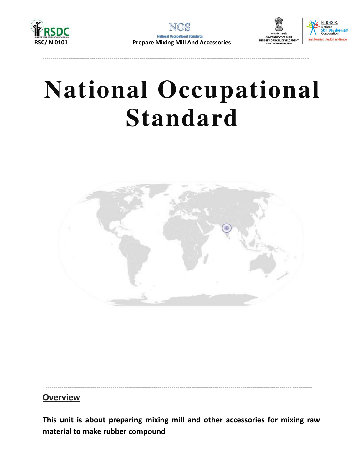







# **National Occupational Standard**



### **Overview**

This unit is about preparing mixing mill and other accessories for mixing raw material to make rubber compound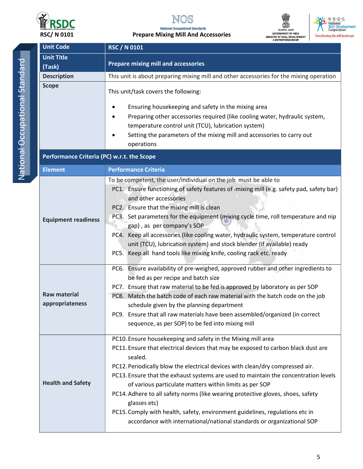

**National Occupational Standards Prepare Mixing Mill And Accessories** 



N · S · D · C<br>• National<br>Skill Development<br>Corporation **Transforming the skill landscape** 

|  | <b>Unit Code</b>                           | <b>RSC / N 0101</b>                                                                                                        |  |  |
|--|--------------------------------------------|----------------------------------------------------------------------------------------------------------------------------|--|--|
|  | <b>Unit Title</b>                          |                                                                                                                            |  |  |
|  | (Task)                                     | <b>Prepare mixing mill and accessories</b>                                                                                 |  |  |
|  | <b>Description</b>                         | This unit is about preparing mixing mill and other accessories for the mixing operation                                    |  |  |
|  | <b>Scope</b>                               | This unit/task covers the following:                                                                                       |  |  |
|  |                                            | Ensuring housekeeping and safety in the mixing area                                                                        |  |  |
|  |                                            | Preparing other accessories required (like cooling water, hydraulic system,                                                |  |  |
|  |                                            | temperature control unit (TCU), lubrication system)                                                                        |  |  |
|  |                                            | Setting the parameters of the mixing mill and accessories to carry out                                                     |  |  |
|  |                                            | operations                                                                                                                 |  |  |
|  | Performance Criteria (PC) w.r.t. the Scope |                                                                                                                            |  |  |
|  | <b>Element</b>                             | <b>Performance Criteria</b>                                                                                                |  |  |
|  |                                            | To be competent, the user/individual on the job must be able to                                                            |  |  |
|  |                                            | PC1. Ensure functioning of safety features of -mixing mill (e.g. safety pad, safety bar)                                   |  |  |
|  |                                            | and other accessories                                                                                                      |  |  |
|  |                                            | PC2. Ensure that the mixing mill is clean                                                                                  |  |  |
|  | <b>Equipment readiness</b>                 | PC3. Set parameters for the equipment (mixing cycle time, roll temperature and nip                                         |  |  |
|  |                                            | gap), as per company's SOP<br>PC4. Keep all accessories (like cooling water, hydraulic system, temperature control         |  |  |
|  |                                            | unit (TCU), lubrication system) and stock blender (if available) ready                                                     |  |  |
|  |                                            | PC5. Keep all hand tools like mixing knife, cooling rack etc. ready                                                        |  |  |
|  |                                            |                                                                                                                            |  |  |
|  | <b>Raw material</b>                        | PC6. Ensure availability of pre-weighed, approved rubber and other ingredients to                                          |  |  |
|  |                                            | be fed as per recipe and batch size                                                                                        |  |  |
|  |                                            | PC7. Ensure that raw material to be fed is approved by laboratory as per SOP                                               |  |  |
|  | appropriateness                            | PC8. Match the batch code of each raw material with the batch code on the job<br>schedule given by the planning department |  |  |
|  |                                            | PC9. Ensure that all raw materials have been assembled/organized (in correct                                               |  |  |
|  |                                            | sequence, as per SOP) to be fed into mixing mill                                                                           |  |  |
|  |                                            |                                                                                                                            |  |  |
|  |                                            | PC10. Ensure housekeeping and safety in the Mixing mill area                                                               |  |  |
|  |                                            | PC11. Ensure that electrical devices that may be exposed to carbon black dust are<br>sealed.                               |  |  |
|  |                                            | PC12. Periodically blow the electrical devices with clean/dry compressed air.                                              |  |  |
|  |                                            | PC13. Ensure that the exhaust systems are used to maintain the concentration levels                                        |  |  |
|  | <b>Health and Safety</b>                   | of various particulate matters within limits as per SOP                                                                    |  |  |
|  |                                            | PC14. Adhere to all safety norms (like wearing protective gloves, shoes, safety                                            |  |  |
|  |                                            | glasses etc)                                                                                                               |  |  |
|  |                                            | PC15. Comply with health, safety, environment guidelines, regulations etc in                                               |  |  |
|  |                                            | accordance with international/national standards or organizational SOP                                                     |  |  |
|  |                                            |                                                                                                                            |  |  |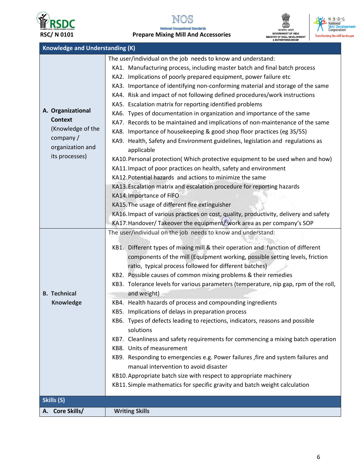

A. Core Skills/

**Writing Skills** 

NOS **National Occupational Standards** 

**Prepare Mixing Mill And Accessories** 





| <b>Knowledge and Understanding (K)</b>                                                                                                                                                                                                                                                                                                                                                                                                                                                                                                                                                                                                                                                                                                                                                                                                                                                                                                                                                                                                                                                                                                                                                                                      |                                                                                                                                                                                                                                                                                                                                                                                                                                                                                                                                                                                                                                                                                                                                                                                                                                                                                                                                                                                                                                                                                                                                                                                                                                                    |  |  |
|-----------------------------------------------------------------------------------------------------------------------------------------------------------------------------------------------------------------------------------------------------------------------------------------------------------------------------------------------------------------------------------------------------------------------------------------------------------------------------------------------------------------------------------------------------------------------------------------------------------------------------------------------------------------------------------------------------------------------------------------------------------------------------------------------------------------------------------------------------------------------------------------------------------------------------------------------------------------------------------------------------------------------------------------------------------------------------------------------------------------------------------------------------------------------------------------------------------------------------|----------------------------------------------------------------------------------------------------------------------------------------------------------------------------------------------------------------------------------------------------------------------------------------------------------------------------------------------------------------------------------------------------------------------------------------------------------------------------------------------------------------------------------------------------------------------------------------------------------------------------------------------------------------------------------------------------------------------------------------------------------------------------------------------------------------------------------------------------------------------------------------------------------------------------------------------------------------------------------------------------------------------------------------------------------------------------------------------------------------------------------------------------------------------------------------------------------------------------------------------------|--|--|
| A. Organizational<br><b>Context</b><br>(Knowledge of the<br>company/<br>organization and<br>its processes)                                                                                                                                                                                                                                                                                                                                                                                                                                                                                                                                                                                                                                                                                                                                                                                                                                                                                                                                                                                                                                                                                                                  | The user/individual on the job needs to know and understand:<br>KA1. Manufacturing process, including master batch and final batch process<br>KA2. Implications of poorly prepared equipment, power failure etc<br>KA3. Importance of identifying non-conforming material and storage of the same<br>KA4. Risk and impact of not following defined procedures/work instructions<br>KA5. Escalation matrix for reporting identified problems<br>KA6. Types of documentation in organization and importance of the same<br>KA7. Records to be maintained and implications of non-maintenance of the same<br>KA8. Importance of housekeeping & good shop floor practices (eg 3S/5S)<br>KA9. Health, Safety and Environment guidelines, legislation and regulations as<br>applicable<br>KA10. Personal protection(Which protective equipment to be used when and how)<br>KA11. Impact of poor practices on health, safety and environment<br>KA12. Potential hazards and actions to minimize the same<br>KA13. Escalation matrix and escalation procedure for reporting hazards<br>KA14. Importance of FIFO<br>KA15. The usage of different fire extinguisher<br>KA16. Impact of various practices on cost, quality, productivity, delivery and safety |  |  |
| KA17. Handover/ Takeover the equipment/ work area as per company's SOP<br>The user/individual on the job needs to know and understand:<br>KB1. Different types of mixing mill & their operation and function of different<br>components of the mill (Equipment working, possible setting levels, friction<br>ratio, typical process followed for different batches)<br>KB2. Possible causes of common mixing problems & their remedies<br>KB3. Tolerance levels for various parameters (temperature, nip gap, rpm of the roll,<br>and weight)<br><b>B.</b> Technical<br>KB4. Health hazards of process and compounding ingredients<br><b>Knowledge</b><br>KB5. Implications of delays in preparation process<br>KB6. Types of defects leading to rejections, indicators, reasons and possible<br>solutions<br>KB7. Cleanliness and safety requirements for commencing a mixing batch operation<br>KB8. Units of measurement<br>KB9. Responding to emergencies e.g. Power failures , fire and system failures and<br>manual intervention to avoid disaster<br>KB10. Appropriate batch size with respect to appropriate machinery<br>KB11. Simple mathematics for specific gravity and batch weight calculation<br>Skills (S) |                                                                                                                                                                                                                                                                                                                                                                                                                                                                                                                                                                                                                                                                                                                                                                                                                                                                                                                                                                                                                                                                                                                                                                                                                                                    |  |  |

 $\boldsymbol{6}$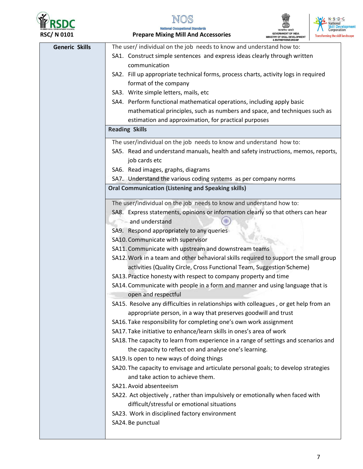



**National Occupational Standards Prepare Mixing Mill And Accessories** 



| <b>Generic Skills</b> | The user/individual on the job needs to know and understand how to:                  |
|-----------------------|--------------------------------------------------------------------------------------|
|                       | SA1. Construct simple sentences and express ideas clearly through written            |
|                       | communication                                                                        |
|                       | SA2. Fill up appropriate technical forms, process charts, activity logs in required  |
|                       | format of the company                                                                |
|                       | SA3. Write simple letters, mails, etc                                                |
|                       | SA4. Perform functional mathematical operations, including apply basic               |
|                       | mathematical principles, such as numbers and space, and techniques such as           |
|                       |                                                                                      |
|                       | estimation and approximation, for practical purposes                                 |
|                       | <b>Reading Skills</b>                                                                |
|                       | The user/individual on the job needs to know and understand how to:                  |
|                       | SA5. Read and understand manuals, health and safety instructions, memos, reports,    |
|                       | job cards etc                                                                        |
|                       | SA6. Read images, graphs, diagrams                                                   |
|                       | SA7. Understand the various coding systems as per company norms                      |
|                       | <b>Oral Communication (Listening and Speaking skills)</b>                            |
|                       | The user/individual on the job needs to know and understand how to:                  |
|                       | SA8. Express statements, opinions or information clearly so that others can hear     |
|                       | and understand                                                                       |
|                       | SA9. Respond appropriately to any queries                                            |
|                       | SA10. Communicate with supervisor                                                    |
|                       | SA11. Communicate with upstream and downstream teams                                 |
|                       | SA12. Work in a team and other behavioral skills required to support the small group |
|                       |                                                                                      |
|                       | activities (Quality Circle, Cross Functional Team, Suggestion Scheme)                |
|                       | SA13. Practice honesty with respect to company property and time                     |
|                       | SA14. Communicate with people in a form and manner and using language that is        |
|                       | open and respectful                                                                  |
|                       | SA15. Resolve any difficulties in relationships with colleagues, or get help from an |
|                       | appropriate person, in a way that preserves goodwill and trust                       |
|                       | SA16. Take responsibility for completing one's own work assignment                   |
|                       | SA17. Take initiative to enhance/learn skills in ones's area of work                 |
|                       | SA18. The capacity to learn from experience in a range of settings and scenarios and |
|                       | the capacity to reflect on and analyse one's learning.                               |
|                       | SA19. Is open to new ways of doing things                                            |
|                       | SA20. The capacity to envisage and articulate personal goals; to develop strategies  |
|                       | and take action to achieve them.                                                     |
|                       | SA21. Avoid absenteeism                                                              |
|                       | SA22. Act objectively, rather than impulsively or emotionally when faced with        |
|                       | difficult/stressful or emotional situations                                          |
|                       | SA23. Work in disciplined factory environment                                        |
|                       | SA24. Be punctual                                                                    |
|                       |                                                                                      |
|                       |                                                                                      |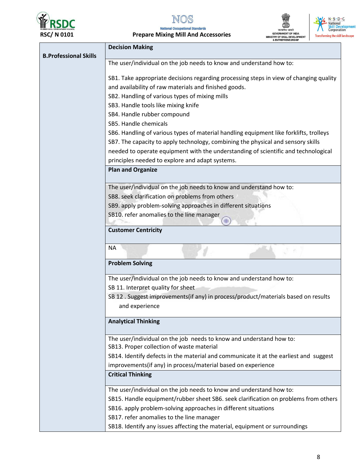

 $\ddot{\phantom{a}}$  $\overline{\phantom{a}}$ ٠. **MAIL A**  $adA$ 





| KSC/ IN UIUI                                                        | Prepare Mixing Mill And Accessories                                                    | IINISTRY OF SKILL DEVELOPMENT<br><b>&amp; ENTREPRENEURSHIP</b> | <b>Transforming the skill la</b> |
|---------------------------------------------------------------------|----------------------------------------------------------------------------------------|----------------------------------------------------------------|----------------------------------|
|                                                                     | <b>Decision Making</b>                                                                 |                                                                |                                  |
| <b>B.Professional Skills</b>                                        |                                                                                        |                                                                |                                  |
|                                                                     | The user/individual on the job needs to know and understand how to:                    |                                                                |                                  |
|                                                                     | SB1. Take appropriate decisions regarding processing steps in view of changing quality |                                                                |                                  |
|                                                                     | and availability of raw materials and finished goods.                                  |                                                                |                                  |
|                                                                     | SB2. Handling of various types of mixing mills                                         |                                                                |                                  |
|                                                                     | SB3. Handle tools like mixing knife                                                    |                                                                |                                  |
|                                                                     | SB4. Handle rubber compound                                                            |                                                                |                                  |
|                                                                     | SB5. Handle chemicals                                                                  |                                                                |                                  |
|                                                                     | SB6. Handling of various types of material handling equipment like forklifts, trolleys |                                                                |                                  |
|                                                                     | SB7. The capacity to apply technology, combining the physical and sensory skills       |                                                                |                                  |
|                                                                     | needed to operate equipment with the understanding of scientific and technological     |                                                                |                                  |
|                                                                     | principles needed to explore and adapt systems.                                        |                                                                |                                  |
|                                                                     | <b>Plan and Organize</b>                                                               |                                                                |                                  |
|                                                                     | The user/individual on the job needs to know and understand how to:                    |                                                                |                                  |
|                                                                     | SB8. seek clarification on problems from others                                        |                                                                |                                  |
|                                                                     | SB9. apply problem-solving approaches in different situations                          |                                                                |                                  |
|                                                                     | SB10. refer anomalies to the line manager                                              |                                                                |                                  |
|                                                                     | <b>Customer Centricity</b>                                                             |                                                                |                                  |
|                                                                     | <b>NA</b>                                                                              |                                                                |                                  |
|                                                                     | <b>Problem Solving</b>                                                                 |                                                                |                                  |
|                                                                     | The user/individual on the job needs to know and understand how to:                    |                                                                |                                  |
|                                                                     | SB 11. Interpret quality for sheet                                                     |                                                                |                                  |
|                                                                     | SB 12 . Suggest improvements(if any) in process/product/materials based on results     |                                                                |                                  |
|                                                                     | and experience                                                                         |                                                                |                                  |
|                                                                     | <b>Analytical Thinking</b>                                                             |                                                                |                                  |
|                                                                     | The user/individual on the job needs to know and understand how to:                    |                                                                |                                  |
|                                                                     | SB13. Proper collection of waste material                                              |                                                                |                                  |
|                                                                     | SB14. Identify defects in the material and communicate it at the earliest and suggest  |                                                                |                                  |
|                                                                     | improvements(if any) in process/material based on experience                           |                                                                |                                  |
|                                                                     | <b>Critical Thinking</b>                                                               |                                                                |                                  |
| The user/individual on the job needs to know and understand how to: |                                                                                        |                                                                |                                  |
|                                                                     | SB15. Handle equipment/rubber sheet SB6. seek clarification on problems from others    |                                                                |                                  |
|                                                                     | SB16. apply problem-solving approaches in different situations                         |                                                                |                                  |
|                                                                     | SB17. refer anomalies to the line manager                                              |                                                                |                                  |
|                                                                     | SB18. Identify any issues affecting the material, equipment or surroundings            |                                                                |                                  |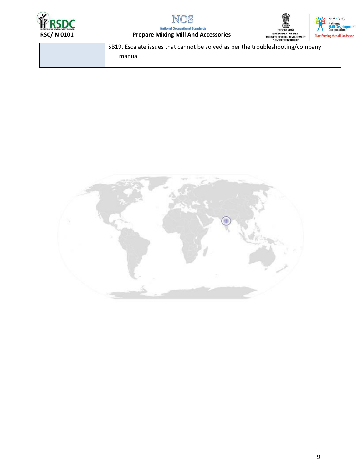



**National Occupational Standards Prepare Mixing Mill And Accessories** 



| SB19. Escalate issues that cannot be solved as per the troubleshooting/company |
|--------------------------------------------------------------------------------|
| manual                                                                         |
|                                                                                |

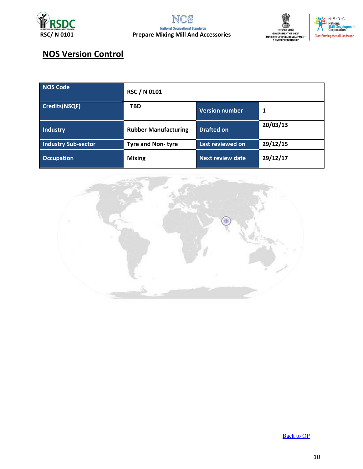





# **NOS Version Control**

| NOS Code                   | <b>RSC / N 0101</b>         |                         |          |
|----------------------------|-----------------------------|-------------------------|----------|
| <b>Credits(NSQF)</b>       | <b>TBD</b>                  | <b>Version number</b>   | 1        |
| <b>Industry</b>            | <b>Rubber Manufacturing</b> | <b>Drafted on</b>       | 20/03/13 |
| <b>Industry Sub-sector</b> | <b>Tyre and Non-tyre</b>    | Last reviewed on        | 29/12/15 |
| <b>Occupation</b>          | <b>Mixing</b>               | <b>Next review date</b> | 29/12/17 |



**Back to QP**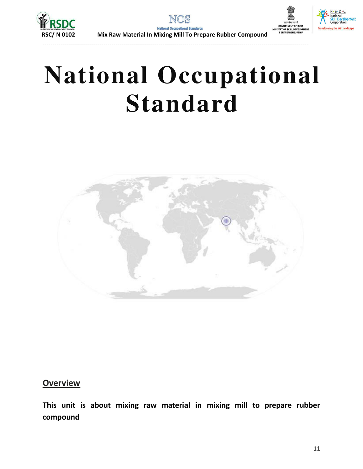



# **National Occupational Standard**



### **Overview**

This unit is about mixing raw material in mixing mill to prepare rubber compound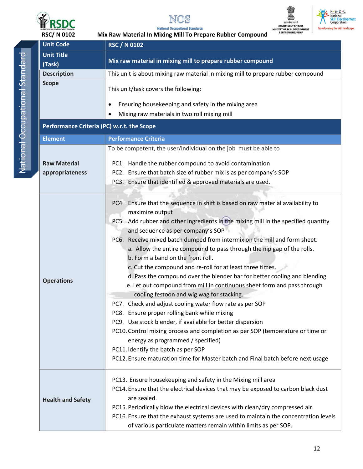



Mix Raw Material In Mixing Mill To Prepare Rubber Compound





**RSC/N0102** 

| <b>Unit Code</b>                           | <b>RSC / N 0102</b>                                                                                                                                                                                                                                                                                                                                                                                                                                                                                                                                                                                                                                                                                                                                                                                                                                                                                                                                                                                                                                                                                                        |  |
|--------------------------------------------|----------------------------------------------------------------------------------------------------------------------------------------------------------------------------------------------------------------------------------------------------------------------------------------------------------------------------------------------------------------------------------------------------------------------------------------------------------------------------------------------------------------------------------------------------------------------------------------------------------------------------------------------------------------------------------------------------------------------------------------------------------------------------------------------------------------------------------------------------------------------------------------------------------------------------------------------------------------------------------------------------------------------------------------------------------------------------------------------------------------------------|--|
| <b>Unit Title</b>                          |                                                                                                                                                                                                                                                                                                                                                                                                                                                                                                                                                                                                                                                                                                                                                                                                                                                                                                                                                                                                                                                                                                                            |  |
| (Task)                                     | Mix raw material in mixing mill to prepare rubber compound                                                                                                                                                                                                                                                                                                                                                                                                                                                                                                                                                                                                                                                                                                                                                                                                                                                                                                                                                                                                                                                                 |  |
| <b>Description</b>                         | This unit is about mixing raw material in mixing mill to prepare rubber compound                                                                                                                                                                                                                                                                                                                                                                                                                                                                                                                                                                                                                                                                                                                                                                                                                                                                                                                                                                                                                                           |  |
| <b>Scope</b>                               | This unit/task covers the following:                                                                                                                                                                                                                                                                                                                                                                                                                                                                                                                                                                                                                                                                                                                                                                                                                                                                                                                                                                                                                                                                                       |  |
|                                            | Ensuring housekeeping and safety in the mixing area<br>$\bullet$                                                                                                                                                                                                                                                                                                                                                                                                                                                                                                                                                                                                                                                                                                                                                                                                                                                                                                                                                                                                                                                           |  |
|                                            | Mixing raw materials in two roll mixing mill                                                                                                                                                                                                                                                                                                                                                                                                                                                                                                                                                                                                                                                                                                                                                                                                                                                                                                                                                                                                                                                                               |  |
| Performance Criteria (PC) w.r.t. the Scope |                                                                                                                                                                                                                                                                                                                                                                                                                                                                                                                                                                                                                                                                                                                                                                                                                                                                                                                                                                                                                                                                                                                            |  |
| <b>Element</b>                             | <b>Performance Criteria</b>                                                                                                                                                                                                                                                                                                                                                                                                                                                                                                                                                                                                                                                                                                                                                                                                                                                                                                                                                                                                                                                                                                |  |
|                                            | To be competent, the user/individual on the job must be able to                                                                                                                                                                                                                                                                                                                                                                                                                                                                                                                                                                                                                                                                                                                                                                                                                                                                                                                                                                                                                                                            |  |
| <b>Raw Material</b>                        | PC1. Handle the rubber compound to avoid contamination                                                                                                                                                                                                                                                                                                                                                                                                                                                                                                                                                                                                                                                                                                                                                                                                                                                                                                                                                                                                                                                                     |  |
| appropriateness                            | PC2. Ensure that batch size of rubber mix is as per company's SOP                                                                                                                                                                                                                                                                                                                                                                                                                                                                                                                                                                                                                                                                                                                                                                                                                                                                                                                                                                                                                                                          |  |
|                                            | PC3. Ensure that identified & approved materials are used.                                                                                                                                                                                                                                                                                                                                                                                                                                                                                                                                                                                                                                                                                                                                                                                                                                                                                                                                                                                                                                                                 |  |
|                                            |                                                                                                                                                                                                                                                                                                                                                                                                                                                                                                                                                                                                                                                                                                                                                                                                                                                                                                                                                                                                                                                                                                                            |  |
| <b>Operations</b>                          | PC4. Ensure that the sequence in shift is based on raw material availability to<br>maximize output<br>PC5. Add rubber and other ingredients in the mixing mill in the specified quantity<br>and sequence as per company's SOP<br>PC6. Receive mixed batch dumped from intermix on the mill and form sheet.<br>a. Allow the entire compound to pass through the nip gap of the rolls.<br>b. Form a band on the front roll.<br>c. Cut the compound and re-roll for at least three times.<br>d. Pass the compound over the blender bar for better cooling and blending.<br>e. Let out compound from mill in continuous sheet form and pass through<br>cooling festoon and wig wag for stacking.<br>PC7.<br>Check and adjust cooling water flow rate as per SOP<br>PC8. Ensure proper rolling bank while mixing<br>PC9. Use stock blender, if available for better dispersion<br>PC10. Control mixing process and completion as per SOP (temperature or time or<br>energy as programmed / specified)<br>PC11. Identify the batch as per SOP<br>PC12. Ensure maturation time for Master batch and Final batch before next usage |  |
| <b>Health and Safety</b>                   | PC13. Ensure housekeeping and safety in the Mixing mill area<br>PC14. Ensure that the electrical devices that may be exposed to carbon black dust<br>are sealed.<br>PC15. Periodically blow the electrical devices with clean/dry compressed air.<br>PC16. Ensure that the exhaust systems are used to maintain the concentration levels<br>of various particulate matters remain within limits as per SOP.                                                                                                                                                                                                                                                                                                                                                                                                                                                                                                                                                                                                                                                                                                                |  |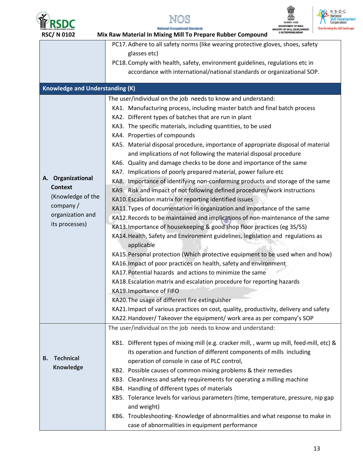







| <b>RSC/N0102</b>                       | & ENTREPRENEURSHIP<br>Mix Raw Material In Mixing Mill To Prepare Rubber Compound              |
|----------------------------------------|-----------------------------------------------------------------------------------------------|
|                                        | PC17. Adhere to all safety norms (like wearing protective gloves, shoes, safety               |
|                                        | glasses etc)                                                                                  |
|                                        | PC18. Comply with health, safety, environment guidelines, regulations etc in                  |
|                                        | accordance with international/national standards or organizational SOP.                       |
| <b>Knowledge and Understanding (K)</b> |                                                                                               |
|                                        | The user/individual on the job needs to know and understand:                                  |
|                                        | KA1. Manufacturing process, including master batch and final batch process                    |
|                                        | KA2. Different types of batches that are run in plant                                         |
|                                        | KA3. The specific materials, including quantities, to be used                                 |
|                                        | KA4. Properties of compounds                                                                  |
|                                        | KA5. Material disposal procedure, importance of appropriate disposal of material              |
|                                        | and implications of not following the material disposal procedure                             |
|                                        | KA6. Quality and damage checks to be done and importance of the same                          |
|                                        | KA7. Implications of poorly prepared material, power failure etc                              |
| A. Organizational                      | KA8. Importance of identifying non-conforming products and storage of the same                |
| <b>Context</b>                         | KA9. Risk and impact of not following defined procedures/work instructions                    |
| (Knowledge of the                      | KA10. Escalation matrix for reporting identified issues                                       |
| company /                              | KA11. Types of documentation in organization and importance of the same                       |
| organization and                       | KA12. Records to be maintained and implications of non-maintenance of the same                |
| its processes)                         | KA13. Importance of housekeeping & good shop floor practices (eg 3S/5S)                       |
|                                        | KA14. Health, Safety and Environment guidelines, legislation and regulations as<br>applicable |
|                                        | KA15. Personal protection (Which protective equipment to be used when and how)                |
|                                        | KA16. Impact of poor practices on health, safety and environment                              |
|                                        | KA17. Potential hazards and actions to minimize the same                                      |
|                                        | KA18. Escalation matrix and escalation procedure for reporting hazards                        |
|                                        | KA19. Importance of FIFO                                                                      |
|                                        | KA20. The usage of different fire extinguisher                                                |
|                                        | KA21. Impact of various practices on cost, quality, productivity, delivery and safety         |
|                                        | KA22. Handover/ Takeover the equipment/ work area as per company's SOP                        |
|                                        | The user/individual on the job needs to know and understand:                                  |
|                                        | KB1. Different types of mixing mill (e.g. cracker mill, , warm up mill, feed-mill, etc) &     |
|                                        | its operation and function of different components of mills including                         |
| <b>Technical</b><br>В.                 | operation of console in case of PLC control,                                                  |
| <b>Knowledge</b>                       | KB2. Possible causes of common mixing problems & their remedies                               |
|                                        | KB3. Cleanliness and safety requirements for operating a milling machine                      |
|                                        | KB4. Handling of different types of materials                                                 |
|                                        | KB5. Tolerance levels for various parameters (time, temperature, pressure, nip gap            |
|                                        | and weight)                                                                                   |
|                                        | KB6. Troubleshooting-Knowledge of abnormalities and what response to make in                  |
|                                        | case of abnormalities in equipment performance                                                |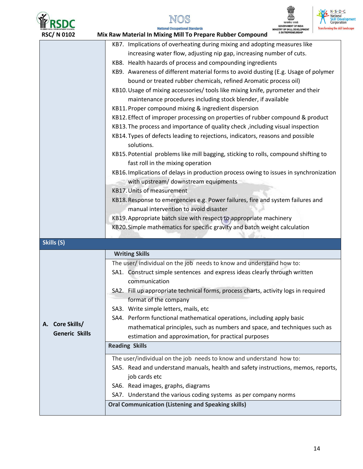

# NOS

nde



 $N \cdot S \cdot D \cdot C$ **National National**<br>**Skill Development**<br>Corporation the skill landscape

| <b>RSC/N0102</b>                                                          | MINISTRY OF SKILL DEVELOPMENT<br>& ENTREPRENEURSHIP<br>Mix Raw Material In Mixing Mill To Prepare Rubber Compound |  |
|---------------------------------------------------------------------------|-------------------------------------------------------------------------------------------------------------------|--|
| KB7. Implications of overheating during mixing and adopting measures like |                                                                                                                   |  |
|                                                                           | increasing water flow, adjusting nip gap, increasing number of cuts.                                              |  |
|                                                                           | KB8. Health hazards of process and compounding ingredients                                                        |  |
|                                                                           | KB9. Awareness of different material forms to avoid dusting (E.g. Usage of polymer                                |  |
|                                                                           | bound or treated rubber chemicals, refined Aromatic process oil)                                                  |  |
|                                                                           | KB10. Usage of mixing accessories/ tools like mixing knife, pyrometer and their                                   |  |
|                                                                           | maintenance procedures including stock blender, if available                                                      |  |
|                                                                           | KB11. Proper compound mixing & ingredient dispersion                                                              |  |
|                                                                           | KB12. Effect of improper processing on properties of rubber compound & product                                    |  |
|                                                                           | KB13. The process and importance of quality check, including visual inspection                                    |  |
|                                                                           | KB14. Types of defects leading to rejections, indicators, reasons and possible<br>solutions.                      |  |
|                                                                           | KB15. Potential problems like mill bagging, sticking to rolls, compound shifting to                               |  |
|                                                                           | fast roll in the mixing operation                                                                                 |  |
|                                                                           | KB16. Implications of delays in production process owing to issues in synchronization                             |  |
|                                                                           | with upstream/ downstream equipments                                                                              |  |
|                                                                           | <b>KB17. Units of measurement</b>                                                                                 |  |
|                                                                           | KB18. Response to emergencies e.g. Power failures, fire and system failures and                                   |  |
|                                                                           | manual intervention to avoid disaster                                                                             |  |
|                                                                           | KB19. Appropriate batch size with respect to appropriate machinery                                                |  |
|                                                                           | KB20. Simple mathematics for specific gravity and batch weight calculation                                        |  |
| Skills (S)                                                                |                                                                                                                   |  |
| <b>Writing Skills</b>                                                     |                                                                                                                   |  |
|                                                                           | The user/individual on the job needs to know and understand how to:                                               |  |
|                                                                           | SA1. Construct simple sentences and express ideas clearly through written                                         |  |
|                                                                           | communication                                                                                                     |  |
|                                                                           | SA2. Fill up appropriate technical forms, process charts, activity logs in required                               |  |
|                                                                           | format of the company                                                                                             |  |
|                                                                           | SA3. Write simple letters, mails, etc                                                                             |  |
|                                                                           | SA4. Perform functional mathematical operations, including apply basic                                            |  |
| A. Core Skills/                                                           | mathematical principles, such as numbers and space, and techniques such as                                        |  |
| <b>Generic Skills</b>                                                     | estimation and approximation, for practical purposes                                                              |  |
|                                                                           | <b>Reading Skills</b>                                                                                             |  |
|                                                                           | The user/individual on the job needs to know and understand how to:                                               |  |
|                                                                           | SA5. Read and understand manuals, health and safety instructions, memos, reports,                                 |  |
|                                                                           | job cards etc                                                                                                     |  |
|                                                                           | SA6. Read images, graphs, diagrams                                                                                |  |
|                                                                           | SA7. Understand the various coding systems as per company norms                                                   |  |
|                                                                           | <b>Oral Communication (Listening and Speaking skills)</b>                                                         |  |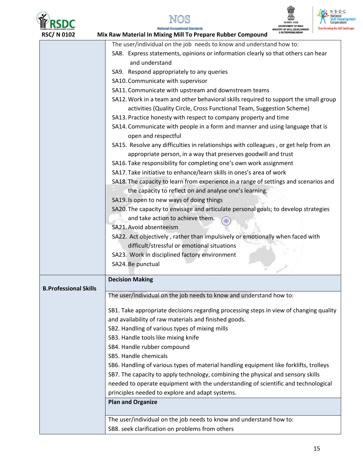





| <b>RSC/N0102</b>             | Mix Raw Material In Mixing Mill To Prepare Rubber Compound<br>& ENTREPRENEURSHII                     |
|------------------------------|------------------------------------------------------------------------------------------------------|
|                              | The user/individual on the job needs to know and understand how to:                                  |
|                              | SA8. Express statements, opinions or information clearly so that others can hear                     |
|                              | and understand                                                                                       |
|                              | SA9. Respond appropriately to any queries                                                            |
|                              | SA10. Communicate with supervisor                                                                    |
|                              | SA11. Communicate with upstream and downstream teams                                                 |
|                              | SA12. Work in a team and other behavioral skills required to support the small group                 |
|                              | activities (Quality Circle, Cross Functional Team, Suggestion Scheme)                                |
|                              | SA13. Practice honesty with respect to company property and time                                     |
|                              | SA14. Communicate with people in a form and manner and using language that is<br>open and respectful |
|                              | SA15. Resolve any difficulties in relationships with colleagues, or get help from an                 |
|                              | appropriate person, in a way that preserves goodwill and trust                                       |
|                              | SA16. Take responsibility for completing one's own work assignment                                   |
|                              | SA17. Take initiative to enhance/learn skills in ones's area of work                                 |
|                              | SA18. The capacity to learn from experience in a range of settings and scenarios and                 |
|                              | the capacity to reflect on and analyse one's learning.                                               |
|                              | SA19. Is open to new ways of doing things                                                            |
|                              | SA20. The capacity to envisage and articulate personal goals; to develop strategies                  |
|                              | and take action to achieve them.                                                                     |
|                              | SA21. Avoid absenteeism                                                                              |
|                              | SA22. Act objectively, rather than impulsively or emotionally when faced with                        |
|                              | difficult/stressful or emotional situations                                                          |
|                              | SA23. Work in disciplined factory environment                                                        |
|                              | SA24. Be punctual                                                                                    |
|                              |                                                                                                      |
|                              | <b>Decision Making</b>                                                                               |
| <b>B.Professional Skills</b> | The user/individual on the job needs to know and understand how to:                                  |
|                              |                                                                                                      |
|                              | SB1. Take appropriate decisions regarding processing steps in view of changing quality               |
|                              | and availability of raw materials and finished goods.                                                |
|                              | SB2. Handling of various types of mixing mills                                                       |
|                              | SB3. Handle tools like mixing knife                                                                  |
|                              | SB4. Handle rubber compound                                                                          |
|                              | SB5. Handle chemicals                                                                                |
|                              | SB6. Handling of various types of material handling equipment like forklifts, trolleys               |
|                              | SB7. The capacity to apply technology, combining the physical and sensory skills                     |
|                              | needed to operate equipment with the understanding of scientific and technological                   |
|                              | principles needed to explore and adapt systems.                                                      |
|                              | <b>Plan and Organize</b>                                                                             |
|                              |                                                                                                      |
|                              | The user/individual on the job needs to know and understand how to:                                  |
|                              | SB8. seek clarification on problems from others                                                      |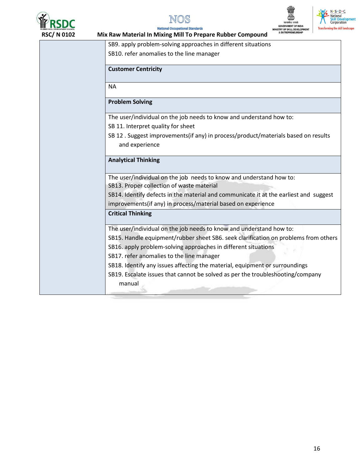







**National Occupational Standards** Mix Raw Material In Mixing Mill To Prepare Rubber Compound

| SB9. apply problem-solving approaches in different situations                                       |
|-----------------------------------------------------------------------------------------------------|
| SB10. refer anomalies to the line manager                                                           |
|                                                                                                     |
| <b>Customer Centricity</b>                                                                          |
| <b>NA</b>                                                                                           |
|                                                                                                     |
| <b>Problem Solving</b>                                                                              |
| The user/individual on the job needs to know and understand how to:                                 |
| SB 11. Interpret quality for sheet                                                                  |
| SB 12. Suggest improvements(if any) in process/product/materials based on results<br>and experience |
|                                                                                                     |
| <b>Analytical Thinking</b>                                                                          |
| The user/individual on the job needs to know and understand how to:                                 |
| SB13. Proper collection of waste material                                                           |
| SB14. Identify defects in the material and communicate it at the earliest and suggest               |
| improvements(if any) in process/material based on experience                                        |
| <b>Critical Thinking</b>                                                                            |
| The user/individual on the job needs to know and understand how to:                                 |
| SB15. Handle equipment/rubber sheet SB6. seek clarification on problems from others                 |
| SB16. apply problem-solving approaches in different situations                                      |
| SB17. refer anomalies to the line manager                                                           |
| SB18. Identify any issues affecting the material, equipment or surroundings                         |
| SB19. Escalate issues that cannot be solved as per the troubleshooting/company                      |
| manual                                                                                              |
|                                                                                                     |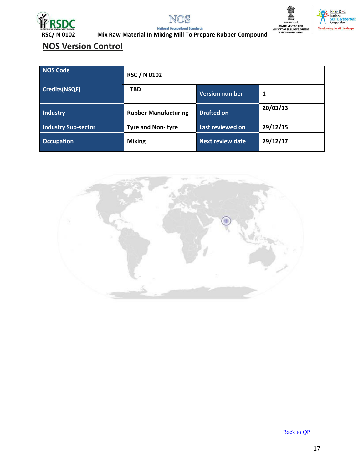







**National Occupational Standards** Mix Raw Material In Mixing Mill To Prepare Rubber Compound

## **NOS Version Control**

| <b>NOS Code</b>            | <b>RSC / N 0102</b>         |                         |          |
|----------------------------|-----------------------------|-------------------------|----------|
| <b>Credits(NSQF)</b>       | <b>TBD</b>                  | <b>Version number</b>   | 1        |
| Industry                   | <b>Rubber Manufacturing</b> | <b>Drafted on</b>       | 20/03/13 |
| <b>Industry Sub-sector</b> | <b>Tyre and Non-tyre</b>    | Last reviewed on        | 29/12/15 |
| <b>Occupation</b>          | <b>Mixing</b>               | <b>Next review date</b> | 29/12/17 |



**Back to QP**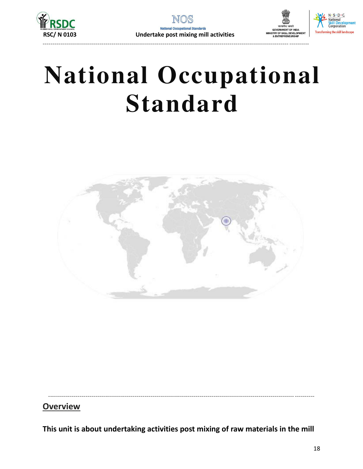





# **National Occupational Standard**



## **Overview**

This unit is about undertaking activities post mixing of raw materials in the mill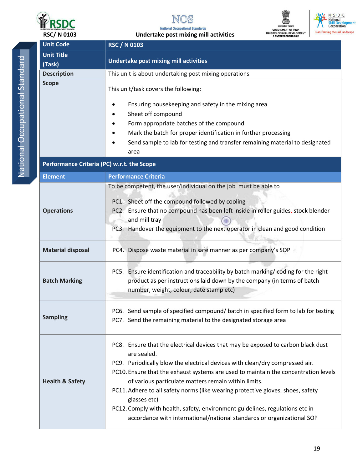

**National Occupational Standards** Undertake post mixing mill activities



 $\begin{tabular}{ c c} N S-D C\\ National  
Skill Development Corporation\\ \end{tabular}$ **Transforming the skill landscape** 

National Occupational Standard

| <b>Unit Code</b>                           | <b>RSC / N 0103</b>                                                                                                                                                                                                                                                                                                                                                                                                                                                                                                                                                                         |  |  |
|--------------------------------------------|---------------------------------------------------------------------------------------------------------------------------------------------------------------------------------------------------------------------------------------------------------------------------------------------------------------------------------------------------------------------------------------------------------------------------------------------------------------------------------------------------------------------------------------------------------------------------------------------|--|--|
| <b>Unit Title</b>                          |                                                                                                                                                                                                                                                                                                                                                                                                                                                                                                                                                                                             |  |  |
| (Task)                                     | <b>Undertake post mixing mill activities</b>                                                                                                                                                                                                                                                                                                                                                                                                                                                                                                                                                |  |  |
| <b>Description</b>                         | This unit is about undertaking post mixing operations                                                                                                                                                                                                                                                                                                                                                                                                                                                                                                                                       |  |  |
| <b>Scope</b>                               | This unit/task covers the following:<br>Ensuring housekeeping and safety in the mixing area<br>Sheet off compound                                                                                                                                                                                                                                                                                                                                                                                                                                                                           |  |  |
|                                            | Form appropriate batches of the compound                                                                                                                                                                                                                                                                                                                                                                                                                                                                                                                                                    |  |  |
|                                            | Mark the batch for proper identification in further processing<br>Send sample to lab for testing and transfer remaining material to designated<br>area                                                                                                                                                                                                                                                                                                                                                                                                                                      |  |  |
| Performance Criteria (PC) w.r.t. the Scope |                                                                                                                                                                                                                                                                                                                                                                                                                                                                                                                                                                                             |  |  |
| <b>Element</b>                             | <b>Performance Criteria</b>                                                                                                                                                                                                                                                                                                                                                                                                                                                                                                                                                                 |  |  |
| <b>Operations</b>                          | To be competent, the user/individual on the job must be able to<br>PC1. Sheet off the compound followed by cooling<br>PC2. Ensure that no compound has been left inside in roller guides, stock blender<br>and mill tray<br>PC3. Handover the equipment to the next operator in clean and good condition                                                                                                                                                                                                                                                                                    |  |  |
| <b>Material disposal</b>                   | PC4. Dispose waste material in safe manner as per company's SOP                                                                                                                                                                                                                                                                                                                                                                                                                                                                                                                             |  |  |
| <b>Batch Marking</b>                       | PC5. Ensure identification and traceability by batch marking/coding for the right<br>product as per instructions laid down by the company (in terms of batch<br>number, weight, colour, date stamp etc)                                                                                                                                                                                                                                                                                                                                                                                     |  |  |
| <b>Sampling</b>                            | PC6. Send sample of specified compound/ batch in specified form to lab for testing<br>PC7. Send the remaining material to the designated storage area                                                                                                                                                                                                                                                                                                                                                                                                                                       |  |  |
| <b>Health &amp; Safety</b>                 | PC8. Ensure that the electrical devices that may be exposed to carbon black dust<br>are sealed.<br>PC9. Periodically blow the electrical devices with clean/dry compressed air.<br>PC10. Ensure that the exhaust systems are used to maintain the concentration levels<br>of various particulate matters remain within limits.<br>PC11. Adhere to all safety norms (like wearing protective gloves, shoes, safety<br>glasses etc)<br>PC12. Comply with health, safety, environment guidelines, regulations etc in<br>accordance with international/national standards or organizational SOP |  |  |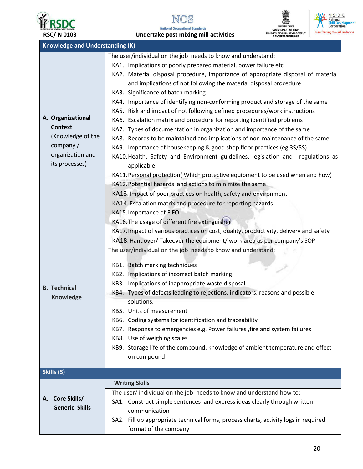

NOS **National Occupational Standards** 





| <b>Knowledge and Understanding (K)</b> |                                                                                       |  |
|----------------------------------------|---------------------------------------------------------------------------------------|--|
|                                        | The user/individual on the job needs to know and understand:                          |  |
| A. Organizational                      | KA1. Implications of poorly prepared material, power failure etc                      |  |
|                                        | KA2. Material disposal procedure, importance of appropriate disposal of material      |  |
|                                        | and implications of not following the material disposal procedure                     |  |
|                                        | KA3. Significance of batch marking                                                    |  |
|                                        | KA4. Importance of identifying non-conforming product and storage of the same         |  |
|                                        | KA5. Risk and impact of not following defined procedures/work instructions            |  |
|                                        | KA6. Escalation matrix and procedure for reporting identified problems                |  |
| <b>Context</b>                         | KA7. Types of documentation in organization and importance of the same                |  |
| (Knowledge of the                      | KA8. Records to be maintained and implications of non-maintenance of the same         |  |
| company /                              | KA9. Importance of housekeeping & good shop floor practices (eg 3S/5S)                |  |
| organization and                       | KA10. Health, Safety and Environment guidelines, legislation and regulations as       |  |
| its processes)                         | applicable                                                                            |  |
|                                        | KA11. Personal protection(Which protective equipment to be used when and how)         |  |
|                                        | KA12. Potential hazards and actions to minimize the same                              |  |
|                                        | KA13. Impact of poor practices on health, safety and environment                      |  |
|                                        | KA14. Escalation matrix and procedure for reporting hazards                           |  |
|                                        | KA15. Importance of FIFO                                                              |  |
|                                        | KA16. The usage of different fire extinguisher                                        |  |
|                                        | KA17. Impact of various practices on cost, quality, productivity, delivery and safety |  |
|                                        | KA18. Handover/ Takeover the equipment/ work area as per company's SOP                |  |
|                                        | The user/individual on the job needs to know and understand:                          |  |
|                                        |                                                                                       |  |
|                                        | KB1. Batch marking techniques                                                         |  |
|                                        | KB2. Implications of incorrect batch marking                                          |  |
| <b>B.</b> Technical<br>Knowledge       | KB3. Implications of inappropriate waste disposal                                     |  |
|                                        | KB4. Types of defects leading to rejections, indicators, reasons and possible         |  |
|                                        | solutions.                                                                            |  |
|                                        | KB5. Units of measurement                                                             |  |
|                                        | KB6. Coding systems for identification and traceability                               |  |
|                                        | KB7. Response to emergencies e.g. Power failures , fire and system failures           |  |
|                                        | KB8. Use of weighing scales                                                           |  |
|                                        | KB9. Storage life of the compound, knowledge of ambient temperature and effect        |  |
|                                        | on compound                                                                           |  |
| Skills (S)                             |                                                                                       |  |
|                                        | <b>Writing Skills</b>                                                                 |  |
|                                        | The user/ individual on the job needs to know and understand how to:                  |  |
| A. Core Skills/                        | SA1. Construct simple sentences and express ideas clearly through written             |  |
| <b>Generic Skills</b>                  | communication                                                                         |  |
|                                        | SA2. Fill up appropriate technical forms, process charts, activity logs in required   |  |
|                                        | format of the company                                                                 |  |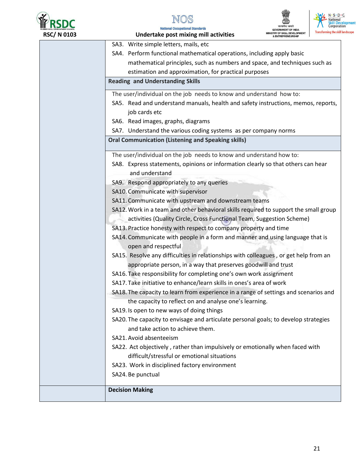





 $N \cdot S \cdot D \cdot C$ 

National<br>Skill Development<br>Corporation

| 0103 | Transforming the skill landsca<br><b>IINISTRY OF SKILL DEVELOPMENT</b><br>Undertake post mixing mill activities<br><b>ENTREPRENEURSHIP</b> |
|------|--------------------------------------------------------------------------------------------------------------------------------------------|
|      | SA3. Write simple letters, mails, etc                                                                                                      |
|      | SA4. Perform functional mathematical operations, including apply basic                                                                     |
|      | mathematical principles, such as numbers and space, and techniques such as                                                                 |
|      | estimation and approximation, for practical purposes                                                                                       |
|      | <b>Reading and Understanding Skills</b>                                                                                                    |
|      | The user/individual on the job needs to know and understand how to:                                                                        |
|      | SA5. Read and understand manuals, health and safety instructions, memos, reports,                                                          |
|      | job cards etc                                                                                                                              |
|      | SA6. Read images, graphs, diagrams                                                                                                         |
|      | SA7. Understand the various coding systems as per company norms                                                                            |
|      | <b>Oral Communication (Listening and Speaking skills)</b>                                                                                  |
|      | The user/individual on the job needs to know and understand how to:                                                                        |
|      | SA8. Express statements, opinions or information clearly so that others can hear                                                           |
|      | and understand                                                                                                                             |
|      | SA9. Respond appropriately to any queries                                                                                                  |
|      | SA10. Communicate with supervisor                                                                                                          |
|      | SA11. Communicate with upstream and downstream teams                                                                                       |
|      | SA12. Work in a team and other behavioral skills required to support the small group                                                       |
|      | activities (Quality Circle, Cross Functional Team, Suggestion Scheme)                                                                      |
|      | SA13. Practice honesty with respect to company property and time                                                                           |
|      | SA14. Communicate with people in a form and manner and using language that is                                                              |
|      | open and respectful                                                                                                                        |
|      | SA15. Resolve any difficulties in relationships with colleagues, or get help from an                                                       |
|      | appropriate person, in a way that preserves goodwill and trust                                                                             |
|      | SA16. Take responsibility for completing one's own work assignment                                                                         |
|      | SA17. Take initiative to enhance/learn skills in ones's area of work                                                                       |
|      | SA18. The capacity to learn from experience in a range of settings and scenarios and                                                       |
|      | the capacity to reflect on and analyse one's learning.                                                                                     |
|      | SA19. Is open to new ways of doing things                                                                                                  |
|      | SA20. The capacity to envisage and articulate personal goals; to develop strategies                                                        |
|      | and take action to achieve them.                                                                                                           |
|      | SA21. Avoid absenteeism                                                                                                                    |
|      | SA22. Act objectively, rather than impulsively or emotionally when faced with                                                              |
|      | difficult/stressful or emotional situations                                                                                                |
|      | SA23. Work in disciplined factory environment                                                                                              |
|      | SA24. Be punctual                                                                                                                          |
|      |                                                                                                                                            |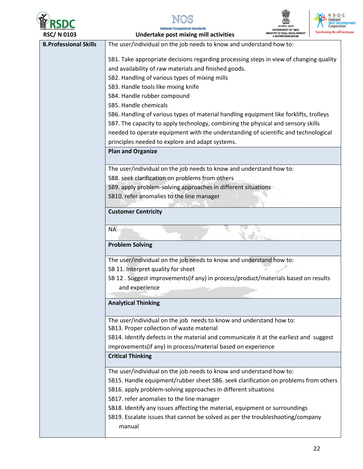





**National Occupational Standards** 

| <b>RSC/N0103</b>             | Undertake post mixing mill activities                                                  | MINISTRY OF SKILL DEVELOPMENT | <b>Transforming the skill landscape</b> |
|------------------------------|----------------------------------------------------------------------------------------|-------------------------------|-----------------------------------------|
| <b>B.Professional Skills</b> | The user/individual on the job needs to know and understand how to:                    |                               |                                         |
|                              | SB1. Take appropriate decisions regarding processing steps in view of changing quality |                               |                                         |
|                              | and availability of raw materials and finished goods.                                  |                               |                                         |
|                              | SB2. Handling of various types of mixing mills                                         |                               |                                         |
|                              | SB3. Handle tools like mixing knife                                                    |                               |                                         |
|                              | SB4. Handle rubber compound                                                            |                               |                                         |
|                              | SB5. Handle chemicals                                                                  |                               |                                         |
|                              | SB6. Handling of various types of material handling equipment like forklifts, trolleys |                               |                                         |
|                              | SB7. The capacity to apply technology, combining the physical and sensory skills       |                               |                                         |
|                              | needed to operate equipment with the understanding of scientific and technological     |                               |                                         |
|                              | principles needed to explore and adapt systems.                                        |                               |                                         |
|                              | <b>Plan and Organize</b>                                                               |                               |                                         |
|                              | The user/individual on the job needs to know and understand how to:                    |                               |                                         |
|                              | SB8. seek clarification on problems from others                                        |                               |                                         |
|                              | SB9. apply problem-solving approaches in different situations                          |                               |                                         |
|                              | SB10. refer anomalies to the line manager                                              |                               |                                         |
|                              |                                                                                        |                               |                                         |
|                              | <b>Customer Centricity</b>                                                             |                               |                                         |
|                              | <b>NA</b>                                                                              |                               |                                         |
|                              |                                                                                        |                               |                                         |
|                              | <b>Problem Solving</b>                                                                 |                               |                                         |
|                              | The user/individual on the job needs to know and understand how to:                    |                               |                                         |
|                              | SB 11. Interpret quality for sheet                                                     |                               |                                         |
|                              | SB 12 . Suggest improvements(if any) in process/product/materials based on results     |                               |                                         |
|                              | and experience                                                                         |                               |                                         |
|                              |                                                                                        |                               |                                         |
|                              | <b>Analytical Thinking</b>                                                             |                               |                                         |
|                              | The user/individual on the job needs to know and understand how to:                    |                               |                                         |
|                              | SB13. Proper collection of waste material                                              |                               |                                         |
|                              | SB14. Identify defects in the material and communicate it at the earliest and suggest  |                               |                                         |
|                              | improvements(if any) in process/material based on experience                           |                               |                                         |
|                              | <b>Critical Thinking</b>                                                               |                               |                                         |
|                              | The user/individual on the job needs to know and understand how to:                    |                               |                                         |
|                              | SB15. Handle equipment/rubber sheet SB6. seek clarification on problems from others    |                               |                                         |
|                              | SB16. apply problem-solving approaches in different situations                         |                               |                                         |
|                              | SB17. refer anomalies to the line manager                                              |                               |                                         |
|                              | SB18. Identify any issues affecting the material, equipment or surroundings            |                               |                                         |
|                              | SB19. Escalate issues that cannot be solved as per the troubleshooting/company         |                               |                                         |
|                              | manual                                                                                 |                               |                                         |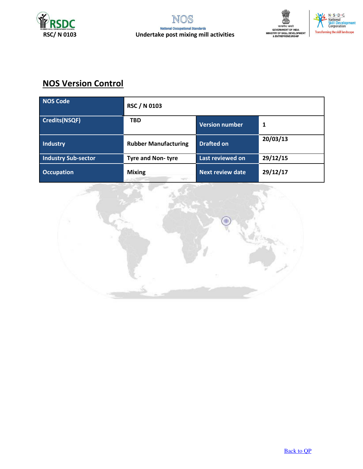





## **NOS Version Control**

| NOS Code                   | <b>RSC / N 0103</b>         |                         |          |
|----------------------------|-----------------------------|-------------------------|----------|
| Credits(NSQF)              | <b>TBD</b>                  | <b>Version number</b>   | 1        |
| Industry                   | <b>Rubber Manufacturing</b> | <b>Drafted on</b>       | 20/03/13 |
| <b>Industry Sub-sector</b> | <b>Tyre and Non-tyre</b>    | Last reviewed on        | 29/12/15 |
| <b>Occupation</b>          | <b>Mixing</b>               | <b>Next review date</b> | 29/12/17 |

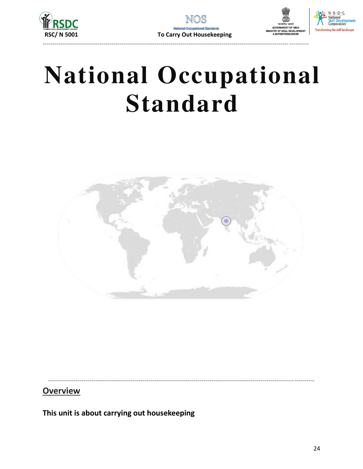





# **National Occupational Standard**



## **Overview**

This unit is about carrying out housekeeping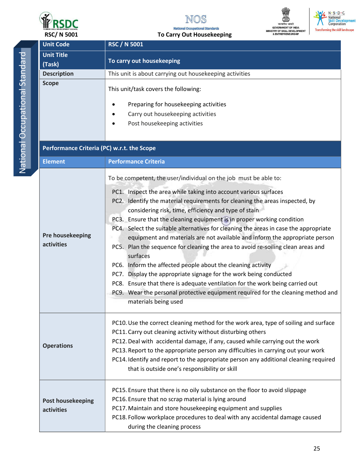

#### **National Occupational Standards** + H 4  $\ddot{\cdot}$



N. S. D. C<br>National<br>Skill Development<br>Corporation **Transforming the skill landscape** 

| <b>Unit Code</b><br><b>RSC / N 5001</b><br><b>Unit Title</b><br>To carry out housekeeping<br>(Task)<br>This unit is about carrying out housekeeping activities<br><b>Description</b><br><b>Scope</b><br>This unit/task covers the following:<br>Preparing for housekeeping activities<br>Carry out housekeeping activities<br>Post housekeeping activities<br>Performance Criteria (PC) w.r.t. the Scope<br><b>Performance Criteria</b><br><b>Element</b><br>To be competent, the user/individual on the job must be able to:<br>PC1. Inspect the area while taking into account various surfaces<br>PC2. Identify the material requirements for cleaning the areas inspected, by<br>considering risk, time, efficiency and type of stain<br>PC3. Ensure that the cleaning equipment is in proper working condition<br>PC4. Select the suitable alternatives for cleaning the areas in case the appropriate<br>Pre housekeeping<br>equipment and materials are not available and inform the appropriate person<br>activities<br>PC5. Plan the sequence for cleaning the area to avoid re-soiling clean areas and<br>surfaces<br>PC6. Inform the affected people about the cleaning activity<br>Display the appropriate signage for the work being conducted<br>PC7.<br>PC8. Ensure that there is adequate ventilation for the work being carried out<br>PC9. Wear the personal protective equipment required for the cleaning method and<br>materials being used<br>PC10. Use the correct cleaning method for the work area, type of soiling and surface<br>PC11. Carry out cleaning activity without disturbing others<br>PC12. Deal with accidental damage, if any, caused while carrying out the work<br><b>Operations</b><br>PC13. Report to the appropriate person any difficulties in carrying out your work<br>PC14. Identify and report to the appropriate person any additional cleaning required<br>that is outside one's responsibility or skill<br>PC15. Ensure that there is no oily substance on the floor to avoid slippage<br>PC16. Ensure that no scrap material is lying around<br><b>Post housekeeping</b><br>PC17. Maintain and store housekeeping equipment and supplies<br>activities<br>PC18. Follow workplace procedures to deal with any accidental damage caused<br>during the cleaning process | <b>RSC/ N 5001</b> | To Carry Out Housekeeping |
|---------------------------------------------------------------------------------------------------------------------------------------------------------------------------------------------------------------------------------------------------------------------------------------------------------------------------------------------------------------------------------------------------------------------------------------------------------------------------------------------------------------------------------------------------------------------------------------------------------------------------------------------------------------------------------------------------------------------------------------------------------------------------------------------------------------------------------------------------------------------------------------------------------------------------------------------------------------------------------------------------------------------------------------------------------------------------------------------------------------------------------------------------------------------------------------------------------------------------------------------------------------------------------------------------------------------------------------------------------------------------------------------------------------------------------------------------------------------------------------------------------------------------------------------------------------------------------------------------------------------------------------------------------------------------------------------------------------------------------------------------------------------------------------------------------------------------------------------------------------------------------------------------------------------------------------------------------------------------------------------------------------------------------------------------------------------------------------------------------------------------------------------------------------------------------------------------------------------------------------------------------------------------------------------------------------------------|--------------------|---------------------------|
|                                                                                                                                                                                                                                                                                                                                                                                                                                                                                                                                                                                                                                                                                                                                                                                                                                                                                                                                                                                                                                                                                                                                                                                                                                                                                                                                                                                                                                                                                                                                                                                                                                                                                                                                                                                                                                                                                                                                                                                                                                                                                                                                                                                                                                                                                                                           |                    |                           |
|                                                                                                                                                                                                                                                                                                                                                                                                                                                                                                                                                                                                                                                                                                                                                                                                                                                                                                                                                                                                                                                                                                                                                                                                                                                                                                                                                                                                                                                                                                                                                                                                                                                                                                                                                                                                                                                                                                                                                                                                                                                                                                                                                                                                                                                                                                                           |                    |                           |
|                                                                                                                                                                                                                                                                                                                                                                                                                                                                                                                                                                                                                                                                                                                                                                                                                                                                                                                                                                                                                                                                                                                                                                                                                                                                                                                                                                                                                                                                                                                                                                                                                                                                                                                                                                                                                                                                                                                                                                                                                                                                                                                                                                                                                                                                                                                           |                    |                           |
|                                                                                                                                                                                                                                                                                                                                                                                                                                                                                                                                                                                                                                                                                                                                                                                                                                                                                                                                                                                                                                                                                                                                                                                                                                                                                                                                                                                                                                                                                                                                                                                                                                                                                                                                                                                                                                                                                                                                                                                                                                                                                                                                                                                                                                                                                                                           |                    |                           |
|                                                                                                                                                                                                                                                                                                                                                                                                                                                                                                                                                                                                                                                                                                                                                                                                                                                                                                                                                                                                                                                                                                                                                                                                                                                                                                                                                                                                                                                                                                                                                                                                                                                                                                                                                                                                                                                                                                                                                                                                                                                                                                                                                                                                                                                                                                                           |                    |                           |
|                                                                                                                                                                                                                                                                                                                                                                                                                                                                                                                                                                                                                                                                                                                                                                                                                                                                                                                                                                                                                                                                                                                                                                                                                                                                                                                                                                                                                                                                                                                                                                                                                                                                                                                                                                                                                                                                                                                                                                                                                                                                                                                                                                                                                                                                                                                           |                    |                           |
|                                                                                                                                                                                                                                                                                                                                                                                                                                                                                                                                                                                                                                                                                                                                                                                                                                                                                                                                                                                                                                                                                                                                                                                                                                                                                                                                                                                                                                                                                                                                                                                                                                                                                                                                                                                                                                                                                                                                                                                                                                                                                                                                                                                                                                                                                                                           |                    |                           |
|                                                                                                                                                                                                                                                                                                                                                                                                                                                                                                                                                                                                                                                                                                                                                                                                                                                                                                                                                                                                                                                                                                                                                                                                                                                                                                                                                                                                                                                                                                                                                                                                                                                                                                                                                                                                                                                                                                                                                                                                                                                                                                                                                                                                                                                                                                                           |                    |                           |
|                                                                                                                                                                                                                                                                                                                                                                                                                                                                                                                                                                                                                                                                                                                                                                                                                                                                                                                                                                                                                                                                                                                                                                                                                                                                                                                                                                                                                                                                                                                                                                                                                                                                                                                                                                                                                                                                                                                                                                                                                                                                                                                                                                                                                                                                                                                           |                    |                           |
|                                                                                                                                                                                                                                                                                                                                                                                                                                                                                                                                                                                                                                                                                                                                                                                                                                                                                                                                                                                                                                                                                                                                                                                                                                                                                                                                                                                                                                                                                                                                                                                                                                                                                                                                                                                                                                                                                                                                                                                                                                                                                                                                                                                                                                                                                                                           |                    |                           |
|                                                                                                                                                                                                                                                                                                                                                                                                                                                                                                                                                                                                                                                                                                                                                                                                                                                                                                                                                                                                                                                                                                                                                                                                                                                                                                                                                                                                                                                                                                                                                                                                                                                                                                                                                                                                                                                                                                                                                                                                                                                                                                                                                                                                                                                                                                                           |                    |                           |
|                                                                                                                                                                                                                                                                                                                                                                                                                                                                                                                                                                                                                                                                                                                                                                                                                                                                                                                                                                                                                                                                                                                                                                                                                                                                                                                                                                                                                                                                                                                                                                                                                                                                                                                                                                                                                                                                                                                                                                                                                                                                                                                                                                                                                                                                                                                           |                    |                           |
|                                                                                                                                                                                                                                                                                                                                                                                                                                                                                                                                                                                                                                                                                                                                                                                                                                                                                                                                                                                                                                                                                                                                                                                                                                                                                                                                                                                                                                                                                                                                                                                                                                                                                                                                                                                                                                                                                                                                                                                                                                                                                                                                                                                                                                                                                                                           |                    |                           |
|                                                                                                                                                                                                                                                                                                                                                                                                                                                                                                                                                                                                                                                                                                                                                                                                                                                                                                                                                                                                                                                                                                                                                                                                                                                                                                                                                                                                                                                                                                                                                                                                                                                                                                                                                                                                                                                                                                                                                                                                                                                                                                                                                                                                                                                                                                                           |                    |                           |
|                                                                                                                                                                                                                                                                                                                                                                                                                                                                                                                                                                                                                                                                                                                                                                                                                                                                                                                                                                                                                                                                                                                                                                                                                                                                                                                                                                                                                                                                                                                                                                                                                                                                                                                                                                                                                                                                                                                                                                                                                                                                                                                                                                                                                                                                                                                           |                    |                           |
|                                                                                                                                                                                                                                                                                                                                                                                                                                                                                                                                                                                                                                                                                                                                                                                                                                                                                                                                                                                                                                                                                                                                                                                                                                                                                                                                                                                                                                                                                                                                                                                                                                                                                                                                                                                                                                                                                                                                                                                                                                                                                                                                                                                                                                                                                                                           |                    |                           |
|                                                                                                                                                                                                                                                                                                                                                                                                                                                                                                                                                                                                                                                                                                                                                                                                                                                                                                                                                                                                                                                                                                                                                                                                                                                                                                                                                                                                                                                                                                                                                                                                                                                                                                                                                                                                                                                                                                                                                                                                                                                                                                                                                                                                                                                                                                                           |                    |                           |
|                                                                                                                                                                                                                                                                                                                                                                                                                                                                                                                                                                                                                                                                                                                                                                                                                                                                                                                                                                                                                                                                                                                                                                                                                                                                                                                                                                                                                                                                                                                                                                                                                                                                                                                                                                                                                                                                                                                                                                                                                                                                                                                                                                                                                                                                                                                           |                    |                           |
|                                                                                                                                                                                                                                                                                                                                                                                                                                                                                                                                                                                                                                                                                                                                                                                                                                                                                                                                                                                                                                                                                                                                                                                                                                                                                                                                                                                                                                                                                                                                                                                                                                                                                                                                                                                                                                                                                                                                                                                                                                                                                                                                                                                                                                                                                                                           |                    |                           |
|                                                                                                                                                                                                                                                                                                                                                                                                                                                                                                                                                                                                                                                                                                                                                                                                                                                                                                                                                                                                                                                                                                                                                                                                                                                                                                                                                                                                                                                                                                                                                                                                                                                                                                                                                                                                                                                                                                                                                                                                                                                                                                                                                                                                                                                                                                                           |                    |                           |
|                                                                                                                                                                                                                                                                                                                                                                                                                                                                                                                                                                                                                                                                                                                                                                                                                                                                                                                                                                                                                                                                                                                                                                                                                                                                                                                                                                                                                                                                                                                                                                                                                                                                                                                                                                                                                                                                                                                                                                                                                                                                                                                                                                                                                                                                                                                           |                    |                           |
|                                                                                                                                                                                                                                                                                                                                                                                                                                                                                                                                                                                                                                                                                                                                                                                                                                                                                                                                                                                                                                                                                                                                                                                                                                                                                                                                                                                                                                                                                                                                                                                                                                                                                                                                                                                                                                                                                                                                                                                                                                                                                                                                                                                                                                                                                                                           |                    |                           |
|                                                                                                                                                                                                                                                                                                                                                                                                                                                                                                                                                                                                                                                                                                                                                                                                                                                                                                                                                                                                                                                                                                                                                                                                                                                                                                                                                                                                                                                                                                                                                                                                                                                                                                                                                                                                                                                                                                                                                                                                                                                                                                                                                                                                                                                                                                                           |                    |                           |
|                                                                                                                                                                                                                                                                                                                                                                                                                                                                                                                                                                                                                                                                                                                                                                                                                                                                                                                                                                                                                                                                                                                                                                                                                                                                                                                                                                                                                                                                                                                                                                                                                                                                                                                                                                                                                                                                                                                                                                                                                                                                                                                                                                                                                                                                                                                           |                    |                           |
|                                                                                                                                                                                                                                                                                                                                                                                                                                                                                                                                                                                                                                                                                                                                                                                                                                                                                                                                                                                                                                                                                                                                                                                                                                                                                                                                                                                                                                                                                                                                                                                                                                                                                                                                                                                                                                                                                                                                                                                                                                                                                                                                                                                                                                                                                                                           |                    |                           |
|                                                                                                                                                                                                                                                                                                                                                                                                                                                                                                                                                                                                                                                                                                                                                                                                                                                                                                                                                                                                                                                                                                                                                                                                                                                                                                                                                                                                                                                                                                                                                                                                                                                                                                                                                                                                                                                                                                                                                                                                                                                                                                                                                                                                                                                                                                                           |                    |                           |
|                                                                                                                                                                                                                                                                                                                                                                                                                                                                                                                                                                                                                                                                                                                                                                                                                                                                                                                                                                                                                                                                                                                                                                                                                                                                                                                                                                                                                                                                                                                                                                                                                                                                                                                                                                                                                                                                                                                                                                                                                                                                                                                                                                                                                                                                                                                           |                    |                           |
|                                                                                                                                                                                                                                                                                                                                                                                                                                                                                                                                                                                                                                                                                                                                                                                                                                                                                                                                                                                                                                                                                                                                                                                                                                                                                                                                                                                                                                                                                                                                                                                                                                                                                                                                                                                                                                                                                                                                                                                                                                                                                                                                                                                                                                                                                                                           |                    |                           |
|                                                                                                                                                                                                                                                                                                                                                                                                                                                                                                                                                                                                                                                                                                                                                                                                                                                                                                                                                                                                                                                                                                                                                                                                                                                                                                                                                                                                                                                                                                                                                                                                                                                                                                                                                                                                                                                                                                                                                                                                                                                                                                                                                                                                                                                                                                                           |                    |                           |
|                                                                                                                                                                                                                                                                                                                                                                                                                                                                                                                                                                                                                                                                                                                                                                                                                                                                                                                                                                                                                                                                                                                                                                                                                                                                                                                                                                                                                                                                                                                                                                                                                                                                                                                                                                                                                                                                                                                                                                                                                                                                                                                                                                                                                                                                                                                           |                    |                           |
|                                                                                                                                                                                                                                                                                                                                                                                                                                                                                                                                                                                                                                                                                                                                                                                                                                                                                                                                                                                                                                                                                                                                                                                                                                                                                                                                                                                                                                                                                                                                                                                                                                                                                                                                                                                                                                                                                                                                                                                                                                                                                                                                                                                                                                                                                                                           |                    |                           |
|                                                                                                                                                                                                                                                                                                                                                                                                                                                                                                                                                                                                                                                                                                                                                                                                                                                                                                                                                                                                                                                                                                                                                                                                                                                                                                                                                                                                                                                                                                                                                                                                                                                                                                                                                                                                                                                                                                                                                                                                                                                                                                                                                                                                                                                                                                                           |                    |                           |
|                                                                                                                                                                                                                                                                                                                                                                                                                                                                                                                                                                                                                                                                                                                                                                                                                                                                                                                                                                                                                                                                                                                                                                                                                                                                                                                                                                                                                                                                                                                                                                                                                                                                                                                                                                                                                                                                                                                                                                                                                                                                                                                                                                                                                                                                                                                           |                    |                           |
|                                                                                                                                                                                                                                                                                                                                                                                                                                                                                                                                                                                                                                                                                                                                                                                                                                                                                                                                                                                                                                                                                                                                                                                                                                                                                                                                                                                                                                                                                                                                                                                                                                                                                                                                                                                                                                                                                                                                                                                                                                                                                                                                                                                                                                                                                                                           |                    |                           |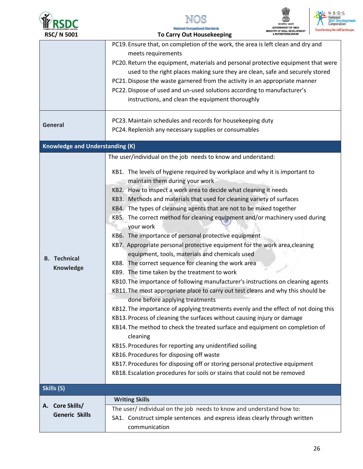

NOS **National Occupational Standards** 

To Carry Out Housekeeping



|                                        | PC19. Ensure that, on completion of the work, the area is left clean and dry and    |
|----------------------------------------|-------------------------------------------------------------------------------------|
|                                        | meets requirements                                                                  |
|                                        | PC20. Return the equipment, materials and personal protective equipment that were   |
|                                        | used to the right places making sure they are clean, safe and securely stored       |
|                                        | PC21. Dispose the waste garnered from the activity in an appropriate manner         |
|                                        | PC22. Dispose of used and un-used solutions according to manufacturer's             |
|                                        | instructions, and clean the equipment thoroughly                                    |
|                                        |                                                                                     |
|                                        | PC23. Maintain schedules and records for housekeeping duty                          |
| <b>General</b>                         | PC24. Replenish any necessary supplies or consumables                               |
|                                        |                                                                                     |
| <b>Knowledge and Understanding (K)</b> |                                                                                     |
|                                        | The user/individual on the job needs to know and understand:                        |
|                                        | KB1. The levels of hygiene required by workplace and why it is important to         |
|                                        | maintain them during your work                                                      |
|                                        |                                                                                     |
|                                        | KB2. How to inspect a work area to decide what cleaning it needs                    |
|                                        | KB3. Methods and materials that used for cleaning variety of surfaces               |
|                                        | KB4. The types of cleansing agents that are not to be mixed together                |
|                                        | KB5. The correct method for cleaning equipment and/or machinery used during         |
|                                        | your work                                                                           |
|                                        | KB6. The importance of personal protective equipment                                |
|                                        | KB7. Appropriate personal protective equipment for the work area, cleaning          |
| <b>B.</b> Technical                    | equipment, tools, materials and chemicals used                                      |
|                                        | KB8. The correct sequence for cleaning the work area                                |
| <b>Knowledge</b>                       | KB9. The time taken by the treatment to work                                        |
|                                        | KB10. The importance of following manufacturer's instructions on cleaning agents    |
|                                        | KB11. The most appropriate place to carry out test cleans and why this should be    |
|                                        | done before applying treatments                                                     |
|                                        | KB12. The importance of applying treatments evenly and the effect of not doing this |
|                                        | KB13. Process of cleaning the surfaces without causing injury or damage             |
|                                        | KB14. The method to check the treated surface and equipment on completion of        |
|                                        | cleaning                                                                            |
|                                        | KB15. Procedures for reporting any unidentified soiling                             |
|                                        | KB16. Procedures for disposing off waste                                            |
|                                        | KB17. Procedures for disposing off or storing personal protective equipment         |
|                                        | KB18. Escalation procedures for soils or stains that could not be removed           |
|                                        |                                                                                     |
| Skills (S)                             |                                                                                     |
|                                        | <b>Writing Skills</b>                                                               |
| A. Core Skills/                        | The user/individual on the job needs to know and understand how to:                 |
| <b>Generic Skills</b>                  | SA1. Construct simple sentences and express ideas clearly through written           |
|                                        | communication                                                                       |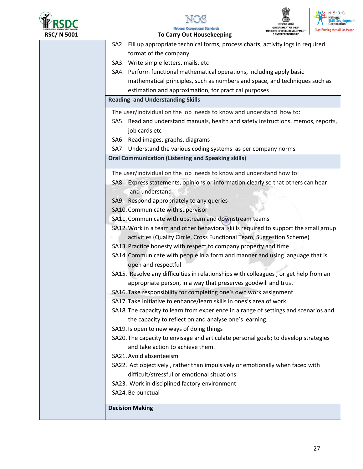



**To Carry Out Housekeeping** 



ning the skill landscape

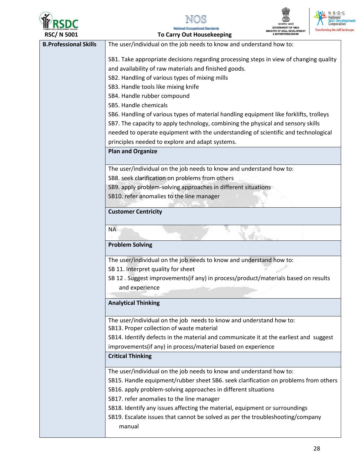







RSC/ N 5001 **To Carry Out Housekeeping B.Professional Skills** The user/individual on the job needs to know and understand how to: SB1. Take appropriate decisions regarding processing steps in view of changing quality and availability of raw materials and finished goods. SB2. Handling of various types of mixing mills SB3. Handle tools like mixing knife SB4. Handle rubber compound SB5. Handle chemicals SB6. Handling of various types of material handling equipment like forklifts, trolleys SB7. The capacity to apply technology, combining the physical and sensory skills needed to operate equipment with the understanding of scientific and technological principles needed to explore and adapt systems. **Plan and Organize** The user/individual on the job needs to know and understand how to: SB8. seek clarification on problems from others SB9. apply problem-solving approaches in different situations SB10. refer anomalies to the line manager **Customer Centricity NA Problem Solving** The user/individual on the job needs to know and understand how to: SB 11. Interpret quality for sheet SB 12. Suggest improvements (if any) in process/product/materials based on results and experience **Analytical Thinking** The user/individual on the job needs to know and understand how to: SB13. Proper collection of waste material SB14. Identify defects in the material and communicate it at the earliest and suggest improvements(if any) in process/material based on experience **Critical Thinking** The user/individual on the job needs to know and understand how to: SB15. Handle equipment/rubber sheet SB6. seek clarification on problems from others SB16. apply problem-solving approaches in different situations SB17. refer anomalies to the line manager SB18. Identify any issues affecting the material, equipment or surroundings SB19. Escalate issues that cannot be solved as per the troubleshooting/company manual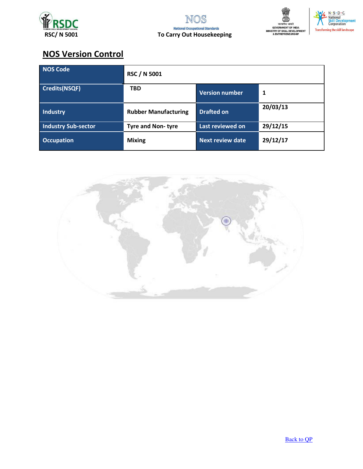





# **NOS Version Control**

| NOS Code                   | <b>RSC / N 5001</b>         |                         |          |
|----------------------------|-----------------------------|-------------------------|----------|
| <b>Credits(NSQF)</b>       | <b>TBD</b>                  | <b>Version number</b>   | 1        |
| <b>Industry</b>            | <b>Rubber Manufacturing</b> | <b>Drafted on</b>       | 20/03/13 |
| <b>Industry Sub-sector</b> | <b>Tyre and Non-tyre</b>    | Last reviewed on        | 29/12/15 |
| <b>Occupation</b>          | <b>Mixing</b>               | <b>Next review date</b> | 29/12/17 |

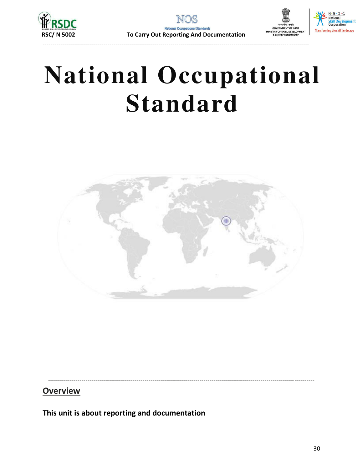





# **National Occupational Standard**



## **Overview**

This unit is about reporting and documentation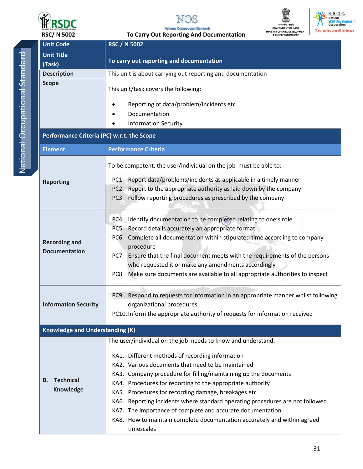



To Carry Out Reporting And Documentation

सत्यमेव जयते<br>GOVERNMENT OF INDIA<br>MINISTRY OF SKILL DEVELOPMENT<br>& ENTREPRENEURSHIP



**RSC/N 5002** 

| <b>Unit Code</b>                           | <b>RSC / N 5002</b>                                                                |  |  |
|--------------------------------------------|------------------------------------------------------------------------------------|--|--|
| <b>Unit Title</b>                          |                                                                                    |  |  |
| (Task)                                     | To carry out reporting and documentation                                           |  |  |
| <b>Description</b>                         | This unit is about carrying out reporting and documentation                        |  |  |
| <b>Scope</b>                               | This unit/task covers the following:                                               |  |  |
|                                            | Reporting of data/problem/incidents etc                                            |  |  |
|                                            | Documentation                                                                      |  |  |
|                                            | <b>Information Security</b>                                                        |  |  |
| Performance Criteria (PC) w.r.t. the Scope |                                                                                    |  |  |
| <b>Element</b>                             | <b>Performance Criteria</b>                                                        |  |  |
|                                            | To be competent, the user/individual on the job must be able to:                   |  |  |
| <b>Reporting</b>                           | PC1. Report data/problems/incidents as applicable in a timely manner               |  |  |
|                                            | PC2. Report to the appropriate authority as laid down by the company               |  |  |
|                                            | PC3. Follow reporting procedures as prescribed by the company                      |  |  |
|                                            |                                                                                    |  |  |
|                                            | PC4. Identify documentation to be completed relating to one's role                 |  |  |
|                                            | PC5. Record details accurately an appropriate format                               |  |  |
| <b>Recording and</b>                       | PC6. Complete all documentation within stipulated time according to company        |  |  |
| <b>Documentation</b>                       | procedure                                                                          |  |  |
|                                            | PC7. Ensure that the final document meets with the requirements of the persons     |  |  |
|                                            | who requested it or make any amendments accordingly                                |  |  |
|                                            | PC8. Make sure documents are available to all appropriate authorities to inspect   |  |  |
|                                            | PC9. Respond to requests for information in an appropriate manner whilst following |  |  |
| <b>Information Security</b>                | organizational procedures                                                          |  |  |
|                                            | PC10. Inform the appropriate authority of requests for information received        |  |  |
| <b>Knowledge and Understanding (K)</b>     |                                                                                    |  |  |
|                                            | The user/individual on the job needs to know and understand:                       |  |  |
|                                            | KA1. Different methods of recording information                                    |  |  |
|                                            | KA2. Various documents that need to be maintained                                  |  |  |
|                                            | KA3. Company procedure for filling/maintaining up the documents                    |  |  |
| <b>Technical</b><br>В.                     | KA4. Procedures for reporting to the appropriate authority                         |  |  |
| <b>Knowledge</b>                           | KA5. Procedures for recording damage, breakages etc                                |  |  |
|                                            | KA6. Reporting incidents where standard operating procedures are not followed      |  |  |
|                                            | KA7. The importance of complete and accurate documentation                         |  |  |
|                                            | KA8. How to maintain complete documentation accurately and within agreed           |  |  |
|                                            | timescales                                                                         |  |  |
|                                            |                                                                                    |  |  |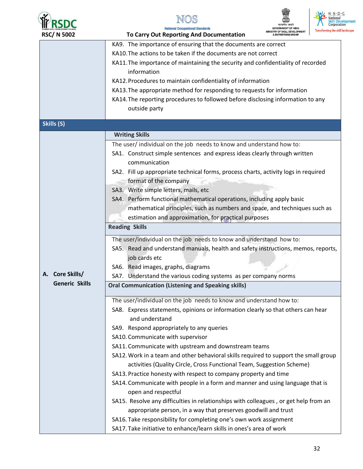







| <b>RSC/N 5002</b>                                           | <b>Transforming the skill</b><br>To Carry Out Reporting And Documentation            |  |
|-------------------------------------------------------------|--------------------------------------------------------------------------------------|--|
|                                                             | KA9. The importance of ensuring that the documents are correct                       |  |
|                                                             | KA10. The actions to be taken if the documents are not correct                       |  |
|                                                             | KA11. The importance of maintaining the security and confidentiality of recorded     |  |
|                                                             | information                                                                          |  |
| KA12. Procedures to maintain confidentiality of information |                                                                                      |  |
|                                                             | KA13. The appropriate method for responding to requests for information              |  |
|                                                             | KA14. The reporting procedures to followed before disclosing information to any      |  |
|                                                             | outside party                                                                        |  |
| Skills (S)                                                  |                                                                                      |  |
|                                                             | <b>Writing Skills</b>                                                                |  |
|                                                             | The user/ individual on the job needs to know and understand how to:                 |  |
|                                                             | SA1. Construct simple sentences and express ideas clearly through written            |  |
|                                                             | communication                                                                        |  |
|                                                             | SA2. Fill up appropriate technical forms, process charts, activity logs in required  |  |
|                                                             | format of the company                                                                |  |
|                                                             | SA3. Write simple letters, mails, etc                                                |  |
|                                                             | SA4. Perform functional mathematical operations, including apply basic               |  |
|                                                             | mathematical principles, such as numbers and space, and techniques such as           |  |
|                                                             | estimation and approximation, for practical purposes                                 |  |
|                                                             | <b>Reading Skills</b>                                                                |  |
|                                                             | The user/individual on the job needs to know and understand how to:                  |  |
|                                                             | SA5. Read and understand manuals, health and safety instructions, memos, reports,    |  |
|                                                             | job cards etc                                                                        |  |
|                                                             | SA6. Read images, graphs, diagrams                                                   |  |
| A. Core Skills/                                             | SA7. Understand the various coding systems as per company norms                      |  |
| <b>Generic Skills</b>                                       | <b>Oral Communication (Listening and Speaking skills)</b>                            |  |
|                                                             | The user/individual on the job needs to know and understand how to:                  |  |
|                                                             | SA8. Express statements, opinions or information clearly so that others can hear     |  |
|                                                             | and understand                                                                       |  |
|                                                             | SA9. Respond appropriately to any queries                                            |  |
|                                                             | SA10. Communicate with supervisor                                                    |  |
|                                                             | SA11. Communicate with upstream and downstream teams                                 |  |
|                                                             | SA12. Work in a team and other behavioral skills required to support the small group |  |
|                                                             | activities (Quality Circle, Cross Functional Team, Suggestion Scheme)                |  |
|                                                             | SA13. Practice honesty with respect to company property and time                     |  |
|                                                             | SA14. Communicate with people in a form and manner and using language that is        |  |
|                                                             | open and respectful                                                                  |  |
|                                                             | SA15. Resolve any difficulties in relationships with colleagues, or get help from an |  |
|                                                             | appropriate person, in a way that preserves goodwill and trust                       |  |
|                                                             | SA16. Take responsibility for completing one's own work assignment                   |  |
|                                                             | SA17. Take initiative to enhance/learn skills in ones's area of work                 |  |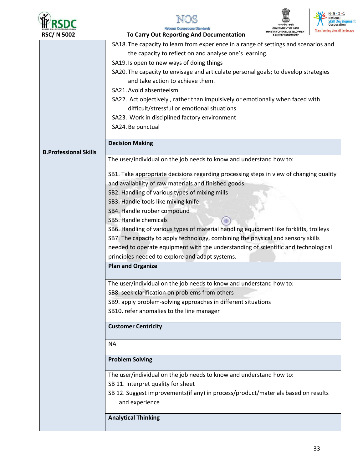







### **Analytical Thinking**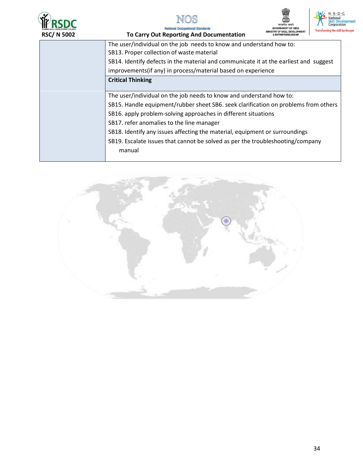







| <b>RUBBER SKILL DEVELOPMENT COUNCIL</b><br><b>RSC/N 5002</b> | requonal Occupational Justician da<br><b>Transforming the skill I</b><br>MINISTRY OF SKILL DEVELOPMENT<br>To Carry Out Reporting And Documentation<br><b>ENTREPRENEURSHIP</b> |
|--------------------------------------------------------------|-------------------------------------------------------------------------------------------------------------------------------------------------------------------------------|
|                                                              | The user/individual on the job needs to know and understand how to:                                                                                                           |
|                                                              | SB13. Proper collection of waste material                                                                                                                                     |
|                                                              | SB14. Identify defects in the material and communicate it at the earliest and suggest                                                                                         |
|                                                              | improvements (if any) in process/material based on experience                                                                                                                 |
|                                                              | <b>Critical Thinking</b>                                                                                                                                                      |
|                                                              |                                                                                                                                                                               |
|                                                              | The user/individual on the job needs to know and understand how to:                                                                                                           |
|                                                              | SB15. Handle equipment/rubber sheet SB6. seek clarification on problems from others                                                                                           |
|                                                              | SB16. apply problem-solving approaches in different situations                                                                                                                |
|                                                              | SB17. refer anomalies to the line manager                                                                                                                                     |
|                                                              | SB18. Identify any issues affecting the material, equipment or surroundings                                                                                                   |
|                                                              | SB19. Escalate issues that cannot be solved as per the troubleshooting/company                                                                                                |
|                                                              | manual                                                                                                                                                                        |
|                                                              |                                                                                                                                                                               |

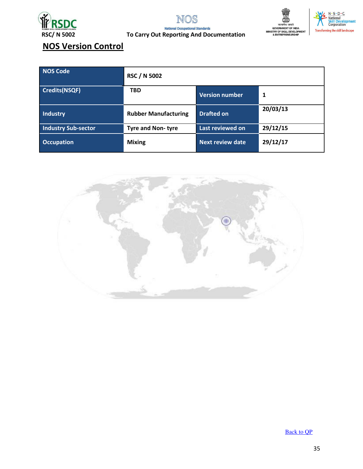

NOS nal Standards **National Occ** 





**To Carry Out Reporting And Documentation** 

# **NOS Version Control**

| <b>NOS Code</b>            | <b>RSC / N 5002</b>         |                         |          |
|----------------------------|-----------------------------|-------------------------|----------|
| Credits(NSQF)              | <b>TBD</b>                  | <b>Version number</b>   | 1        |
| Industry                   | <b>Rubber Manufacturing</b> | <b>Drafted on</b>       | 20/03/13 |
| <b>Industry Sub-sector</b> | <b>Tyre and Non-tyre</b>    | Last reviewed on        | 29/12/15 |
| <b>Occupation</b>          | <b>Mixing</b>               | <b>Next review date</b> | 29/12/17 |



**Back to QP**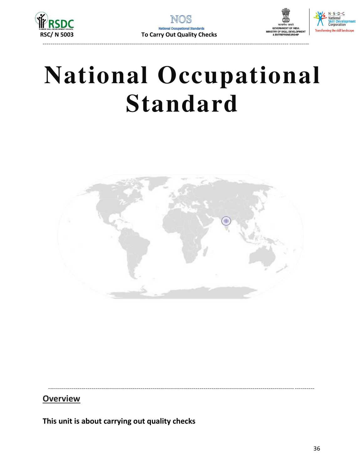





# **National Occupational Standard**



**Overview** 

This unit is about carrying out quality checks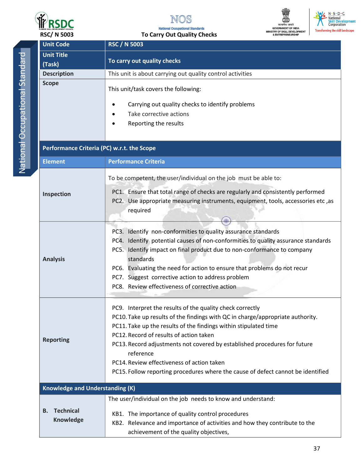



**National Occupational Standards** 



| <b>RSC/ N 5003</b>                                           | <b>To Carry Out Quality Checks</b><br>& ENTREPRENEURSHIP                                                                                                                                                                                                                                                                                                                                                                                                                               |
|--------------------------------------------------------------|----------------------------------------------------------------------------------------------------------------------------------------------------------------------------------------------------------------------------------------------------------------------------------------------------------------------------------------------------------------------------------------------------------------------------------------------------------------------------------------|
| <b>Unit Code</b>                                             | <b>RSC / N 5003</b>                                                                                                                                                                                                                                                                                                                                                                                                                                                                    |
| <b>Unit Title</b>                                            |                                                                                                                                                                                                                                                                                                                                                                                                                                                                                        |
| (Task)                                                       | To carry out quality checks                                                                                                                                                                                                                                                                                                                                                                                                                                                            |
| <b>Description</b>                                           | This unit is about carrying out quality control activities                                                                                                                                                                                                                                                                                                                                                                                                                             |
| <b>Scope</b>                                                 | This unit/task covers the following:<br>Carrying out quality checks to identify problems<br>Take corrective actions<br>Reporting the results                                                                                                                                                                                                                                                                                                                                           |
| Performance Criteria (PC) w.r.t. the Scope<br><b>Element</b> | <b>Performance Criteria</b>                                                                                                                                                                                                                                                                                                                                                                                                                                                            |
|                                                              |                                                                                                                                                                                                                                                                                                                                                                                                                                                                                        |
| Inspection                                                   | To be competent, the user/individual on the job must be able to:<br>PC1. Ensure that total range of checks are regularly and consistently performed<br>PC2. Use appropriate measuring instruments, equipment, tools, accessories etc, as<br>required                                                                                                                                                                                                                                   |
| <b>Analysis</b>                                              | PC3. Identify non-conformities to quality assurance standards<br>PC4. Identify potential causes of non-conformities to quality assurance standards<br>PC5. Identify impact on final product due to non-conformance to company<br>standards<br>PC6. Evaluating the need for action to ensure that problems do not recur<br>PC7. Suggest corrective action to address problem<br>PC8. Review effectiveness of corrective action                                                          |
| <b>Reporting</b>                                             | PC9. Interpret the results of the quality check correctly<br>PC10. Take up results of the findings with QC in charge/appropriate authority.<br>PC11. Take up the results of the findings within stipulated time<br>PC12. Record of results of action taken<br>PC13. Record adjustments not covered by established procedures for future<br>reference<br>PC14. Review effectiveness of action taken<br>PC15. Follow reporting procedures where the cause of defect cannot be identified |
| <b>Knowledge and Understanding (K)</b>                       |                                                                                                                                                                                                                                                                                                                                                                                                                                                                                        |
|                                                              | The user/individual on the job needs to know and understand:                                                                                                                                                                                                                                                                                                                                                                                                                           |
| <b>Technical</b><br>В.<br><b>Knowledge</b>                   | KB1. The importance of quality control procedures<br>KB2. Relevance and importance of activities and how they contribute to the<br>achievement of the quality objectives,                                                                                                                                                                                                                                                                                                              |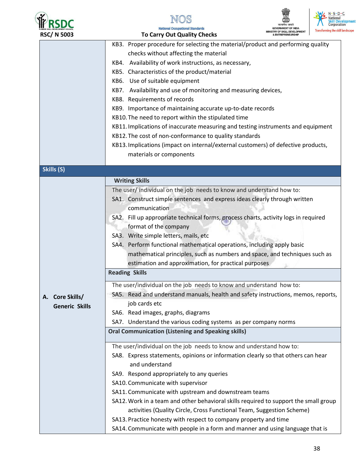

ı





| <b>RSC/N 5003</b>     | <b>To Carry Out Quality Checks</b>                                                   | <b>IINISTRY OF SKILL DEVELOPMENT</b><br><b>ENTREPRENEURSHIP</b> | Transforming the ski |
|-----------------------|--------------------------------------------------------------------------------------|-----------------------------------------------------------------|----------------------|
|                       | KB3. Proper procedure for selecting the material/product and performing quality      |                                                                 |                      |
|                       | checks without affecting the material                                                |                                                                 |                      |
|                       | KB4. Availability of work instructions, as necessary,                                |                                                                 |                      |
|                       | KB5. Characteristics of the product/material                                         |                                                                 |                      |
|                       | KB6. Use of suitable equipment                                                       |                                                                 |                      |
|                       | KB7. Availability and use of monitoring and measuring devices,                       |                                                                 |                      |
|                       | KB8. Requirements of records                                                         |                                                                 |                      |
|                       | KB9. Importance of maintaining accurate up-to-date records                           |                                                                 |                      |
|                       | KB10. The need to report within the stipulated time                                  |                                                                 |                      |
|                       | KB11. Implications of inaccurate measuring and testing instruments and equipment     |                                                                 |                      |
|                       | KB12. The cost of non-conformance to quality standards                               |                                                                 |                      |
|                       | KB13. Implications (impact on internal/external customers) of defective products,    |                                                                 |                      |
|                       | materials or components                                                              |                                                                 |                      |
| Skills (S)            |                                                                                      |                                                                 |                      |
|                       | <b>Writing Skills</b>                                                                |                                                                 |                      |
|                       | The user/ individual on the job needs to know and understand how to:                 |                                                                 |                      |
|                       | SA1. Construct simple sentences and express ideas clearly through written            |                                                                 |                      |
|                       | communication                                                                        |                                                                 |                      |
|                       | SA2. Fill up appropriate technical forms, process charts, activity logs in required  |                                                                 |                      |
|                       | format of the company                                                                |                                                                 |                      |
|                       | SA3. Write simple letters, mails, etc                                                |                                                                 |                      |
|                       | SA4. Perform functional mathematical operations, including apply basic               |                                                                 |                      |
|                       | mathematical principles, such as numbers and space, and techniques such as           |                                                                 |                      |
|                       | estimation and approximation, for practical purposes                                 |                                                                 |                      |
|                       | <b>Reading Skills</b>                                                                |                                                                 |                      |
|                       | The user/individual on the job needs to know and understand how to:                  |                                                                 |                      |
| A. Core Skills/       | SA5. Read and understand manuals, health and safety instructions, memos, reports,    |                                                                 |                      |
| <b>Generic Skills</b> | job cards etc                                                                        |                                                                 |                      |
|                       | SA6. Read images, graphs, diagrams                                                   |                                                                 |                      |
|                       | SA7. Understand the various coding systems as per company norms                      |                                                                 |                      |
|                       | <b>Oral Communication (Listening and Speaking skills)</b>                            |                                                                 |                      |
|                       | The user/individual on the job needs to know and understand how to:                  |                                                                 |                      |
|                       | SA8. Express statements, opinions or information clearly so that others can hear     |                                                                 |                      |
|                       | and understand                                                                       |                                                                 |                      |
|                       | SA9. Respond appropriately to any queries                                            |                                                                 |                      |
|                       | SA10. Communicate with supervisor                                                    |                                                                 |                      |
|                       | SA11. Communicate with upstream and downstream teams                                 |                                                                 |                      |
|                       | SA12. Work in a team and other behavioral skills required to support the small group |                                                                 |                      |
|                       | activities (Quality Circle, Cross Functional Team, Suggestion Scheme)                |                                                                 |                      |
|                       | SA13. Practice honesty with respect to company property and time                     |                                                                 |                      |
|                       | SA14. Communicate with people in a form and manner and using language that is        |                                                                 |                      |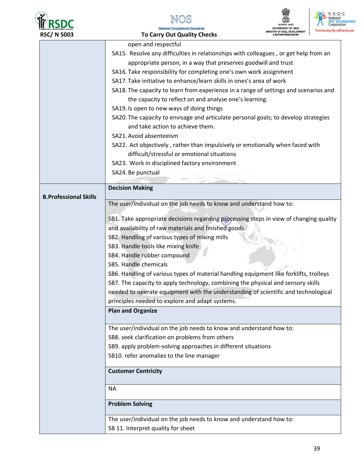







| <b>RSC/N 5003</b>            | <b>Transforming the skill</b><br><b>RY OF SKILL DEVELOPMENT</b><br><b>To Carry Out Quality Checks</b> |  |  |  |
|------------------------------|-------------------------------------------------------------------------------------------------------|--|--|--|
|                              | open and respectful                                                                                   |  |  |  |
|                              | SA15. Resolve any difficulties in relationships with colleagues, or get help from an                  |  |  |  |
|                              | appropriate person, in a way that preserves goodwill and trust                                        |  |  |  |
|                              | SA16. Take responsibility for completing one's own work assignment                                    |  |  |  |
|                              | SA17. Take initiative to enhance/learn skills in ones's area of work                                  |  |  |  |
|                              | SA18. The capacity to learn from experience in a range of settings and scenarios and                  |  |  |  |
|                              | the capacity to reflect on and analyse one's learning.                                                |  |  |  |
|                              | SA19. Is open to new ways of doing things                                                             |  |  |  |
|                              | SA20. The capacity to envisage and articulate personal goals; to develop strategies                   |  |  |  |
|                              | and take action to achieve them.                                                                      |  |  |  |
|                              | SA21. Avoid absenteeism                                                                               |  |  |  |
|                              | SA22. Act objectively, rather than impulsively or emotionally when faced with                         |  |  |  |
|                              | difficult/stressful or emotional situations                                                           |  |  |  |
|                              | SA23. Work in disciplined factory environment                                                         |  |  |  |
|                              | SA24. Be punctual                                                                                     |  |  |  |
|                              |                                                                                                       |  |  |  |
|                              | <b>Decision Making</b>                                                                                |  |  |  |
| <b>B.Professional Skills</b> | The user/individual on the job needs to know and understand how to:                                   |  |  |  |
|                              |                                                                                                       |  |  |  |
|                              | SB1. Take appropriate decisions regarding processing steps in view of changing quality                |  |  |  |
|                              | and availability of raw materials and finished goods.                                                 |  |  |  |
|                              | SB2. Handling of various types of mixing mills                                                        |  |  |  |
|                              | SB3. Handle tools like mixing knife                                                                   |  |  |  |
|                              | SB4. Handle rubber compound                                                                           |  |  |  |
|                              | SB5. Handle chemicals                                                                                 |  |  |  |
|                              | SB6. Handling of various types of material handling equipment like forklifts, trolleys                |  |  |  |
|                              | SB7. The capacity to apply technology, combining the physical and sensory skills                      |  |  |  |
|                              | needed to operate equipment with the understanding of scientific and technological                    |  |  |  |
|                              | principles needed to explore and adapt systems.                                                       |  |  |  |
|                              | <b>Plan and Organize</b>                                                                              |  |  |  |
|                              | The user/individual on the job needs to know and understand how to:                                   |  |  |  |
|                              | SB8. seek clarification on problems from others                                                       |  |  |  |
|                              | SB9. apply problem-solving approaches in different situations                                         |  |  |  |
|                              | SB10. refer anomalies to the line manager                                                             |  |  |  |
|                              |                                                                                                       |  |  |  |
|                              | <b>Customer Centricity</b>                                                                            |  |  |  |
|                              | <b>NA</b>                                                                                             |  |  |  |
|                              | <b>Problem Solving</b>                                                                                |  |  |  |
|                              | The user/individual on the job needs to know and understand how to:                                   |  |  |  |
|                              | SB 11. Interpret quality for sheet                                                                    |  |  |  |
|                              |                                                                                                       |  |  |  |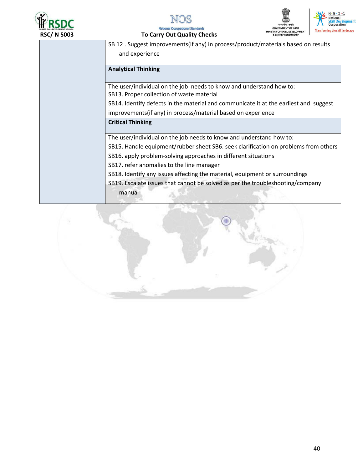







To Carry Out Quality Checks

| SB 12. Suggest improvements (if any) in process/product/materials based on results    |
|---------------------------------------------------------------------------------------|
| and experience                                                                        |
| <b>Analytical Thinking</b>                                                            |
|                                                                                       |
| The user/individual on the job needs to know and understand how to:                   |
| SB13. Proper collection of waste material                                             |
| SB14. Identify defects in the material and communicate it at the earliest and suggest |
| improvements (if any) in process/material based on experience                         |
| <b>Critical Thinking</b>                                                              |
|                                                                                       |
| The user/individual on the job needs to know and understand how to:                   |
| SB15. Handle equipment/rubber sheet SB6. seek clarification on problems from others   |
| SB16. apply problem-solving approaches in different situations                        |
| SB17. refer anomalies to the line manager                                             |
| SB18. Identify any issues affecting the material, equipment or surroundings           |
| SB19. Escalate issues that cannot be solved as per the troubleshooting/company        |
| manual                                                                                |
|                                                                                       |

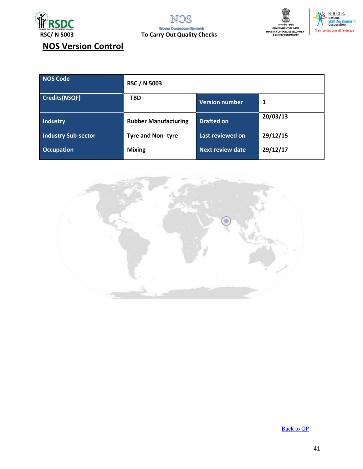





# **NOS Version Control**

| NOS Code                   | <b>RSC / N 5003</b>         |                         |          |
|----------------------------|-----------------------------|-------------------------|----------|
| <b>Credits(NSQF)</b>       | <b>TBD</b>                  | <b>Version number</b>   | 1        |
| Industry                   | <b>Rubber Manufacturing</b> | <b>Drafted on</b>       | 20/03/13 |
| <b>Industry Sub-sector</b> | <b>Tyre and Non-tyre</b>    | Last reviewed on        | 29/12/15 |
| <b>Occupation</b>          | <b>Mixing</b>               | <b>Next review date</b> | 29/12/17 |



**Back to QP**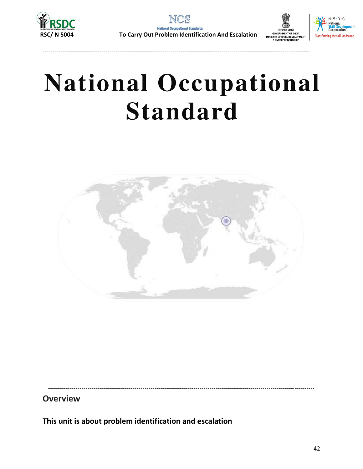





# **National Occupational Standard**



## **Overview**

This unit is about problem identification and escalation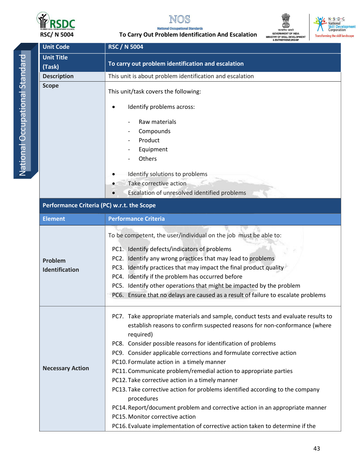







**National Occupational Standards** Carry Out Problem Identification And Escalation **T.** 

| דטטכ וו שכח                                | 0 Carry Out Froblem Reminication And Escalation<br>Transforming the SKIILI<br><b>RY OF SKILL DEVELOPMENT</b> |  |  |
|--------------------------------------------|--------------------------------------------------------------------------------------------------------------|--|--|
| <b>Unit Code</b>                           | <b>RSC / N 5004</b>                                                                                          |  |  |
| <b>Unit Title</b>                          |                                                                                                              |  |  |
| (Task)                                     | To carry out problem identification and escalation                                                           |  |  |
| <b>Description</b>                         | This unit is about problem identification and escalation                                                     |  |  |
| <b>Scope</b>                               | This unit/task covers the following:                                                                         |  |  |
|                                            | Identify problems across:                                                                                    |  |  |
|                                            | Raw materials                                                                                                |  |  |
|                                            | Compounds                                                                                                    |  |  |
|                                            | Product                                                                                                      |  |  |
|                                            | Equipment                                                                                                    |  |  |
|                                            | Others                                                                                                       |  |  |
|                                            | Identify solutions to problems                                                                               |  |  |
|                                            | Take corrective action                                                                                       |  |  |
|                                            | Escalation of unresolved identified problems                                                                 |  |  |
| Performance Criteria (PC) w.r.t. the Scope |                                                                                                              |  |  |
| <b>Element</b>                             | <b>Performance Criteria</b>                                                                                  |  |  |
|                                            | To be competent, the user/individual on the job must be able to:                                             |  |  |
|                                            | PC1. Identify defects/indicators of problems                                                                 |  |  |
| Problem                                    | PC2. Identify any wrong practices that may lead to problems                                                  |  |  |
| Identification                             | PC3. Identify practices that may impact the final product quality                                            |  |  |
|                                            | PC4. Identify if the problem has occurred before                                                             |  |  |
|                                            | PC5. Identify other operations that might be impacted by the problem                                         |  |  |
|                                            | PC6. Ensure that no delays are caused as a result of failure to escalate problems                            |  |  |
|                                            | PC7. Take appropriate materials and sample, conduct tests and evaluate results to                            |  |  |
|                                            | establish reasons to confirm suspected reasons for non-conformance (where<br>required)                       |  |  |
|                                            | PC8. Consider possible reasons for identification of problems                                                |  |  |
|                                            | PC9. Consider applicable corrections and formulate corrective action                                         |  |  |
|                                            | PC10. Formulate action in a timely manner                                                                    |  |  |
| <b>Necessary Action</b>                    | PC11. Communicate problem/remedial action to appropriate parties                                             |  |  |
|                                            | PC12. Take corrective action in a timely manner                                                              |  |  |
|                                            | PC13. Take corrective action for problems identified according to the company<br>procedures                  |  |  |
|                                            | PC14. Report/document problem and corrective action in an appropriate manner                                 |  |  |
|                                            | PC15. Monitor corrective action                                                                              |  |  |
|                                            | PC16. Evaluate implementation of corrective action taken to determine if the                                 |  |  |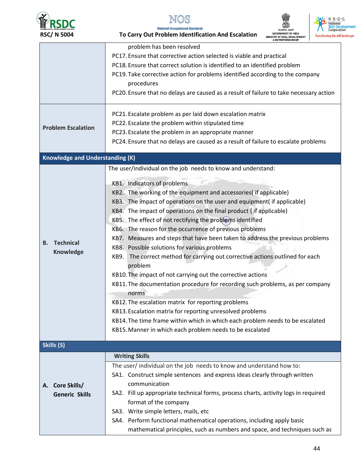

## NOS

**National Occupational Standards** 





| <b>RSC/N 5004</b>                                                    | To Carry Out Problem Identification And Escalation                                                                                                         | <b>IINISTRY OF SKILL DEVELOPMENT</b><br><b>ENTREPRENEURSHIP</b> | <b>Transforming the ski</b> |
|----------------------------------------------------------------------|------------------------------------------------------------------------------------------------------------------------------------------------------------|-----------------------------------------------------------------|-----------------------------|
|                                                                      | problem has been resolved                                                                                                                                  |                                                                 |                             |
| PC17. Ensure that corrective action selected is viable and practical |                                                                                                                                                            |                                                                 |                             |
|                                                                      | PC18. Ensure that correct solution is identified to an identified problem<br>PC19. Take corrective action for problems identified according to the company |                                                                 |                             |
|                                                                      |                                                                                                                                                            |                                                                 |                             |
|                                                                      | procedures                                                                                                                                                 |                                                                 |                             |
|                                                                      | PC20. Ensure that no delays are caused as a result of failure to take necessary action                                                                     |                                                                 |                             |
|                                                                      | PC21. Escalate problem as per laid down escalation matrix                                                                                                  |                                                                 |                             |
|                                                                      | PC22. Escalate the problem within stipulated time                                                                                                          |                                                                 |                             |
| <b>Problem Escalation</b>                                            | PC23. Escalate the problem in an appropriate manner                                                                                                        |                                                                 |                             |
|                                                                      | PC24. Ensure that no delays are caused as a result of failure to escalate problems                                                                         |                                                                 |                             |
| <b>Knowledge and Understanding (K)</b>                               |                                                                                                                                                            |                                                                 |                             |
|                                                                      | The user/individual on the job needs to know and understand:                                                                                               |                                                                 |                             |
|                                                                      |                                                                                                                                                            |                                                                 |                             |
|                                                                      | KB1. Indicators of problems                                                                                                                                |                                                                 |                             |
|                                                                      | KB2. The working of the equipment and accessories (if applicable)                                                                                          |                                                                 |                             |
|                                                                      | KB3. The impact of operations on the user and equipment( if applicable)                                                                                    |                                                                 |                             |
|                                                                      | KB4. The impact of operations on the final product (if applicable)                                                                                         |                                                                 |                             |
|                                                                      | KB5. The effect of not rectifying the problems identified                                                                                                  |                                                                 |                             |
|                                                                      | KB6. The reason for the occurrence of previous problems                                                                                                    |                                                                 |                             |
| <b>Technical</b><br>В.                                               | KB7. Measures and steps that have been taken to address the previous problems                                                                              |                                                                 |                             |
| <b>Knowledge</b>                                                     | KB8. Possible solutions for various problems                                                                                                               |                                                                 |                             |
|                                                                      | The correct method for carrying out corrective actions outlined for each<br>KB9.                                                                           |                                                                 |                             |
|                                                                      | problem                                                                                                                                                    |                                                                 |                             |
|                                                                      | KB10. The impact of not carrying out the corrective actions                                                                                                |                                                                 |                             |
|                                                                      | KB11. The documentation procedure for recording such problems, as per company                                                                              |                                                                 |                             |
|                                                                      | norms                                                                                                                                                      |                                                                 |                             |
|                                                                      | KB12. The escalation matrix for reporting problems                                                                                                         |                                                                 |                             |
|                                                                      | KB13. Escalation matrix for reporting unresolved problems                                                                                                  |                                                                 |                             |
|                                                                      | KB14. The time frame within which in which each problem needs to be escalated                                                                              |                                                                 |                             |
|                                                                      | KB15. Manner in which each problem needs to be escalated                                                                                                   |                                                                 |                             |
| Skills (S)                                                           |                                                                                                                                                            |                                                                 |                             |
|                                                                      | <b>Writing Skills</b>                                                                                                                                      |                                                                 |                             |
|                                                                      | The user/individual on the job needs to know and understand how to:                                                                                        |                                                                 |                             |
|                                                                      | SA1. Construct simple sentences and express ideas clearly through written                                                                                  |                                                                 |                             |
| A. Core Skills/                                                      | communication                                                                                                                                              |                                                                 |                             |
| <b>Generic Skills</b>                                                | SA2. Fill up appropriate technical forms, process charts, activity logs in required                                                                        |                                                                 |                             |
|                                                                      | format of the company                                                                                                                                      |                                                                 |                             |
|                                                                      | SA3. Write simple letters, mails, etc                                                                                                                      |                                                                 |                             |
|                                                                      | SA4. Perform functional mathematical operations, including apply basic                                                                                     |                                                                 |                             |
|                                                                      | mathematical principles, such as numbers and space, and techniques such as                                                                                 |                                                                 |                             |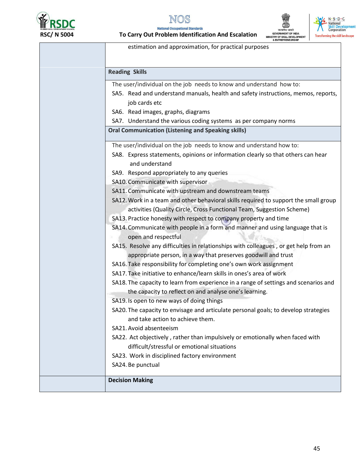

**National Occupational Standards** To Carry Out Problem Identification And Escalation





estimation and approximation, for practical purposes

| <b>Reading Skills</b>                                                                |
|--------------------------------------------------------------------------------------|
| The user/individual on the job needs to know and understand how to:                  |
| SA5. Read and understand manuals, health and safety instructions, memos, reports,    |
| job cards etc                                                                        |
| SA6. Read images, graphs, diagrams                                                   |
| SA7. Understand the various coding systems as per company norms                      |
| <b>Oral Communication (Listening and Speaking skills)</b>                            |
| The user/individual on the job needs to know and understand how to:                  |
| SA8. Express statements, opinions or information clearly so that others can hear     |
| and understand                                                                       |
| SA9. Respond appropriately to any queries                                            |
| SA10. Communicate with supervisor                                                    |
| SA11. Communicate with upstream and downstream teams                                 |
| SA12. Work in a team and other behavioral skills required to support the small group |
| activities (Quality Circle, Cross Functional Team, Suggestion Scheme)                |
| SA13. Practice honesty with respect to company property and time                     |
| SA14. Communicate with people in a form and manner and using language that is        |
| open and respectful                                                                  |
| SA15. Resolve any difficulties in relationships with colleagues, or get help from an |
| appropriate person, in a way that preserves goodwill and trust                       |
| SA16. Take responsibility for completing one's own work assignment                   |
| SA17. Take initiative to enhance/learn skills in ones's area of work                 |
| SA18. The capacity to learn from experience in a range of settings and scenarios and |
| the capacity to reflect on and analyse one's learning.                               |
| SA19. Is open to new ways of doing things                                            |
| SA20. The capacity to envisage and articulate personal goals; to develop strategies  |
| and take action to achieve them.                                                     |
| SA21. Avoid absenteeism                                                              |
| SA22. Act objectively, rather than impulsively or emotionally when faced with        |
| difficult/stressful or emotional situations                                          |
| SA23. Work in disciplined factory environment                                        |
| SA24. Be punctual                                                                    |
| <b>Decision Making</b>                                                               |
|                                                                                      |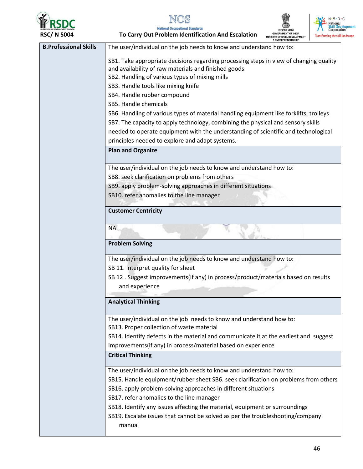



**National Occupational Standards** 



To Carry Out Problem Identification And Escalation

| דטטכ וו נטכו                 | 0 Carry Out Froblem Reminication And Escalation<br>Transforming the skill is<br>MINISTRY OF SKILL DEVELOPMENT                                                              |
|------------------------------|----------------------------------------------------------------------------------------------------------------------------------------------------------------------------|
| <b>B.Professional Skills</b> | The user/individual on the job needs to know and understand how to:                                                                                                        |
|                              | SB1. Take appropriate decisions regarding processing steps in view of changing quality<br>and availability of raw materials and finished goods.                            |
|                              | SB2. Handling of various types of mixing mills                                                                                                                             |
|                              | SB3. Handle tools like mixing knife                                                                                                                                        |
|                              | SB4. Handle rubber compound<br>SB5. Handle chemicals                                                                                                                       |
|                              |                                                                                                                                                                            |
|                              | SB6. Handling of various types of material handling equipment like forklifts, trolleys<br>SB7. The capacity to apply technology, combining the physical and sensory skills |
|                              | needed to operate equipment with the understanding of scientific and technological                                                                                         |
|                              | principles needed to explore and adapt systems.                                                                                                                            |
|                              | <b>Plan and Organize</b>                                                                                                                                                   |
|                              |                                                                                                                                                                            |
|                              | The user/individual on the job needs to know and understand how to:                                                                                                        |
|                              | SB8. seek clarification on problems from others                                                                                                                            |
|                              | SB9. apply problem-solving approaches in different situations                                                                                                              |
|                              | SB10. refer anomalies to the line manager                                                                                                                                  |
|                              | <b>Customer Centricity</b>                                                                                                                                                 |
|                              |                                                                                                                                                                            |
|                              | <b>NA</b>                                                                                                                                                                  |
|                              | <b>Problem Solving</b>                                                                                                                                                     |
|                              | The user/individual on the job needs to know and understand how to:                                                                                                        |
|                              | SB 11. Interpret quality for sheet                                                                                                                                         |
|                              | SB 12. Suggest improvements(if any) in process/product/materials based on results                                                                                          |
|                              | and experience                                                                                                                                                             |
|                              | <b>Analytical Thinking</b>                                                                                                                                                 |
|                              | The user/individual on the job needs to know and understand how to:<br>SB13. Proper collection of waste material                                                           |
|                              | SB14. Identify defects in the material and communicate it at the earliest and suggest                                                                                      |
|                              | improvements(if any) in process/material based on experience                                                                                                               |
|                              | <b>Critical Thinking</b>                                                                                                                                                   |
|                              | The user/individual on the job needs to know and understand how to:                                                                                                        |
|                              | SB15. Handle equipment/rubber sheet SB6. seek clarification on problems from others                                                                                        |
|                              | SB16. apply problem-solving approaches in different situations                                                                                                             |
|                              | SB17. refer anomalies to the line manager                                                                                                                                  |
|                              | SB18. Identify any issues affecting the material, equipment or surroundings                                                                                                |
|                              | SB19. Escalate issues that cannot be solved as per the troubleshooting/company<br>manual                                                                                   |
|                              |                                                                                                                                                                            |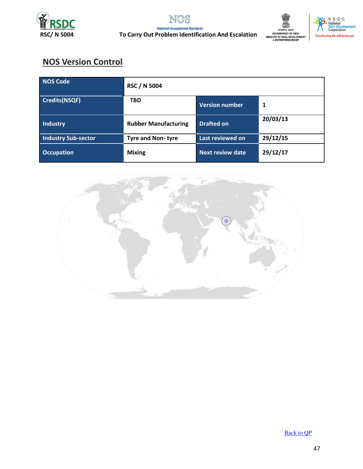





## **NOS Version Control**

| NOS Code                   | <b>RSC / N 5004</b>         |                         |          |
|----------------------------|-----------------------------|-------------------------|----------|
| <b>Credits(NSQF)</b>       | <b>TBD</b>                  | <b>Version number</b>   | 1        |
| Industry                   | <b>Rubber Manufacturing</b> | <b>Drafted on</b>       | 20/03/13 |
| <b>Industry Sub-sector</b> | <b>Tyre and Non-tyre</b>    | Last reviewed on        | 29/12/15 |
| <b>Occupation</b>          | <b>Mixing</b>               | <b>Next review date</b> | 29/12/17 |



**Back to QP**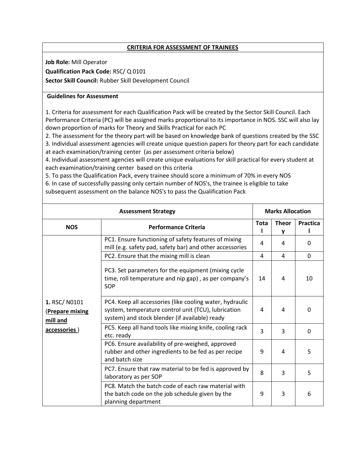### **CRITERIA FOR ASSESSMENT OF TRAINEES**

**Job Role:** Mill Operator

**Qualification Pack Code:** RSC/ Q 0101

**Sector Skill Council:** Rubber Skill Development Council

### **Guidelines for Assessment**

1. Criteria for assessment for each Qualification Pack will be created by the Sector Skill Council. Each Performance Criteria (PC) will be assigned marks proportional to its importance in NOS. SSC will also lay down proportion of marks for Theory and Skills Practical for each PC

2. The assessment for the theory part will be based on knowledge bank of questions created by the SSC 3. Individual assessment agencies will create unique question papers for theory part for each candidate at each examination/training center (as per assessment criteria below)

4. Individual assessment agencies will create unique evaluations for skill practical for every student at each examination/training center based on this criteria

5. To pass the Qualification Pack, every trainee should score a minimum of 70% in every NOS 6. In case of successfully passing only certain number of NOS's, the trainee is eligible to take subsequent assessment on the balance NOS's to pass the Qualification Pack

| <b>Assessment Strategy</b>                                  |                                                                                                                                                                   | <b>Marks Allocation</b> |                   |          |
|-------------------------------------------------------------|-------------------------------------------------------------------------------------------------------------------------------------------------------------------|-------------------------|-------------------|----------|
| <b>NOS</b>                                                  | <b>Performance Criteria</b>                                                                                                                                       | <b>Tota</b>             | <b>Theor</b><br>v | Practica |
|                                                             | PC1. Ensure functioning of safety features of mixing<br>mill (e.g. safety pad, safety bar) and other accessories                                                  | 4                       | 4                 | $\Omega$ |
|                                                             | PC2. Ensure that the mixing mill is clean                                                                                                                         | 4                       | 4                 | $\Omega$ |
| 1. RSC/N0101<br>(Prepare mixing<br>mill and<br>accessories) | PC3. Set parameters for the equipment (mixing cycle<br>time, roll temperature and nip gap), as per company's<br>SOP                                               | 14                      | 4                 | 10       |
|                                                             | PC4. Keep all accessories (like cooling water, hydraulic<br>system, temperature control unit (TCU), lubrication<br>system) and stock blender (if available) ready | 4                       | 4                 | $\Omega$ |
|                                                             | PC5. Keep all hand tools like mixing knife, cooling rack<br>etc. ready                                                                                            | 3                       | 3                 | $\Omega$ |
|                                                             | PC6. Ensure availability of pre-weighed, approved<br>rubber and other ingredients to be fed as per recipe<br>and batch size                                       | 9                       | 4                 | 5        |
|                                                             | PC7. Ensure that raw material to be fed is approved by<br>laboratory as per SOP                                                                                   | 8                       | 3                 | 5        |
|                                                             | PC8. Match the batch code of each raw material with<br>the batch code on the job schedule given by the<br>planning department                                     | 9                       | 3                 | 6        |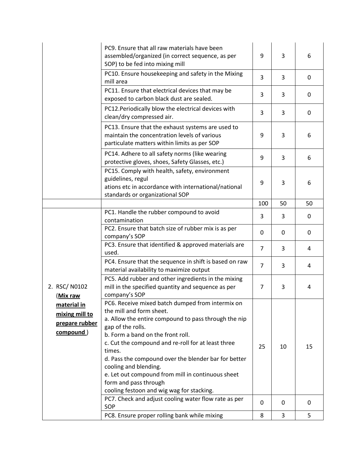|                                                              | PC9. Ensure that all raw materials have been<br>assembled/organized (in correct sequence, as per<br>SOP) to be fed into mixing mill                                                                                                                                                                                                                                                                                                                                        | 9              | 3        | 6  |
|--------------------------------------------------------------|----------------------------------------------------------------------------------------------------------------------------------------------------------------------------------------------------------------------------------------------------------------------------------------------------------------------------------------------------------------------------------------------------------------------------------------------------------------------------|----------------|----------|----|
|                                                              | PC10. Ensure housekeeping and safety in the Mixing<br>mill area                                                                                                                                                                                                                                                                                                                                                                                                            | 3              | 3        | 0  |
|                                                              | PC11. Ensure that electrical devices that may be<br>exposed to carbon black dust are sealed.                                                                                                                                                                                                                                                                                                                                                                               | 3              | 3        | 0  |
|                                                              | PC12. Periodically blow the electrical devices with<br>clean/dry compressed air.                                                                                                                                                                                                                                                                                                                                                                                           | 3              | 3        | 0  |
|                                                              | PC13. Ensure that the exhaust systems are used to<br>maintain the concentration levels of various<br>particulate matters within limits as per SOP                                                                                                                                                                                                                                                                                                                          | 9              | 3        | 6  |
|                                                              | PC14. Adhere to all safety norms (like wearing<br>protective gloves, shoes, Safety Glasses, etc.)                                                                                                                                                                                                                                                                                                                                                                          | 9              | 3        | 6  |
|                                                              | PC15. Comply with health, safety, environment<br>guidelines, regul<br>ations etc in accordance with international/national<br>standards or organizational SOP                                                                                                                                                                                                                                                                                                              | 9              | 3        | 6  |
|                                                              |                                                                                                                                                                                                                                                                                                                                                                                                                                                                            | 100            | 50       | 50 |
|                                                              | PC1. Handle the rubber compound to avoid<br>contamination                                                                                                                                                                                                                                                                                                                                                                                                                  | 3              | 3        | 0  |
|                                                              | PC2. Ensure that batch size of rubber mix is as per<br>company's SOP                                                                                                                                                                                                                                                                                                                                                                                                       | $\Omega$       | $\Omega$ | 0  |
|                                                              | PC3. Ensure that identified & approved materials are<br>used.                                                                                                                                                                                                                                                                                                                                                                                                              | $\overline{7}$ | 3        | 4  |
|                                                              | PC4. Ensure that the sequence in shift is based on raw<br>material availability to maximize output                                                                                                                                                                                                                                                                                                                                                                         | $\overline{7}$ | 3        | 4  |
| 2. RSC/N0102<br>(Mix raw                                     | PC5. Add rubber and other ingredients in the mixing<br>mill in the specified quantity and sequence as per<br>company's SOP                                                                                                                                                                                                                                                                                                                                                 | $\overline{7}$ | 3        | 4  |
| material in<br>mixing mill to<br>prepare rubber<br>compound) | PC6. Receive mixed batch dumped from intermix on<br>the mill and form sheet.<br>a. Allow the entire compound to pass through the nip<br>gap of the rolls.<br>b. Form a band on the front roll.<br>c. Cut the compound and re-roll for at least three<br>times.<br>d. Pass the compound over the blender bar for better<br>cooling and blending.<br>e. Let out compound from mill in continuous sheet<br>form and pass through<br>cooling festoon and wig wag for stacking. | 25             | 10       | 15 |
|                                                              | PC7. Check and adjust cooling water flow rate as per<br>SOP                                                                                                                                                                                                                                                                                                                                                                                                                | 0              | 0        | 0  |
|                                                              | PC8. Ensure proper rolling bank while mixing                                                                                                                                                                                                                                                                                                                                                                                                                               | 8              | 3        | 5  |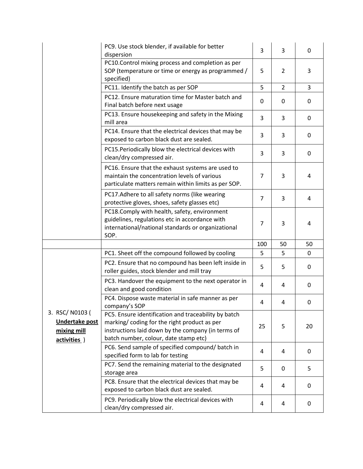|                                                                        | PC9. Use stock blender, if available for better<br>dispersion                                                                                                                                      | 3              | 3              | 0              |
|------------------------------------------------------------------------|----------------------------------------------------------------------------------------------------------------------------------------------------------------------------------------------------|----------------|----------------|----------------|
|                                                                        | PC10.Control mixing process and completion as per<br>SOP (temperature or time or energy as programmed /<br>specified)                                                                              | 5              | $\overline{2}$ | 3              |
|                                                                        | PC11. Identify the batch as per SOP                                                                                                                                                                | 5              | $\overline{2}$ | $\overline{3}$ |
|                                                                        | PC12. Ensure maturation time for Master batch and<br>Final batch before next usage                                                                                                                 | $\Omega$       | 0              | 0              |
|                                                                        | PC13. Ensure housekeeping and safety in the Mixing<br>mill area                                                                                                                                    | 3              | 3              | $\mathbf{0}$   |
|                                                                        | PC14. Ensure that the electrical devices that may be<br>exposed to carbon black dust are sealed.                                                                                                   | 3              | 3              | 0              |
|                                                                        | PC15. Periodically blow the electrical devices with<br>clean/dry compressed air.                                                                                                                   | 3              | 3              | $\mathbf{0}$   |
|                                                                        | PC16. Ensure that the exhaust systems are used to<br>maintain the concentration levels of various<br>particulate matters remain within limits as per SOP.                                          | 7              | 3              | 4              |
|                                                                        | PC17. Adhere to all safety norms (like wearing<br>protective gloves, shoes, safety glasses etc)                                                                                                    | $\overline{7}$ | 3              | 4              |
|                                                                        | PC18.Comply with health, safety, environment<br>guidelines, regulations etc in accordance with<br>international/national standards or organizational<br>SOP.                                       | 7              | 3              | 4              |
|                                                                        |                                                                                                                                                                                                    | 100            | 50             | 50             |
|                                                                        | PC1. Sheet off the compound followed by cooling                                                                                                                                                    | 5              | 5              | $\mathbf{0}$   |
|                                                                        | PC2. Ensure that no compound has been left inside in<br>roller guides, stock blender and mill tray                                                                                                 | 5              | 5              | $\mathbf{0}$   |
|                                                                        | PC3. Handover the equipment to the next operator in<br>clean and good condition                                                                                                                    | 4              | 4              | 0              |
|                                                                        | PC4. Dispose waste material in safe manner as per<br>company's SOP                                                                                                                                 | 4              | 4              | 0              |
| 3. RSC/N0103 (<br><b>Undertake post</b><br>mixing mill<br>activities ) | PC5. Ensure identification and traceability by batch<br>marking/coding for the right product as per<br>instructions laid down by the company (in terms of<br>batch number, colour, date stamp etc) | 25             | 5              | 20             |
|                                                                        | PC6. Send sample of specified compound/ batch in<br>specified form to lab for testing                                                                                                              | 4              | 4              | $\mathbf{0}$   |
|                                                                        | PC7. Send the remaining material to the designated<br>storage area                                                                                                                                 | 5              | 0              | 5              |
|                                                                        | PC8. Ensure that the electrical devices that may be<br>exposed to carbon black dust are sealed.                                                                                                    | 4              | 4              | $\mathbf{0}$   |
|                                                                        | PC9. Periodically blow the electrical devices with<br>clean/dry compressed air.                                                                                                                    | 4              | 4              | 0              |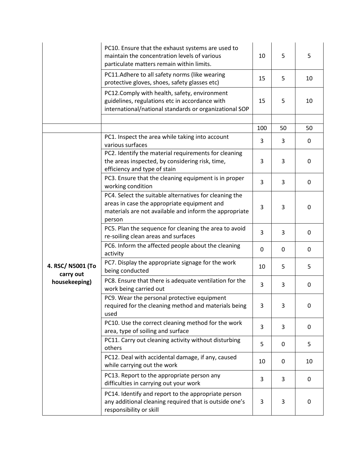|                                | PC10. Ensure that the exhaust systems are used to<br>maintain the concentration levels of various<br>particulate matters remain within limits.                            | 10  | 5  | 5            |
|--------------------------------|---------------------------------------------------------------------------------------------------------------------------------------------------------------------------|-----|----|--------------|
|                                | PC11.Adhere to all safety norms (like wearing<br>protective gloves, shoes, safety glasses etc)                                                                            | 15  | 5  | 10           |
|                                | PC12.Comply with health, safety, environment<br>guidelines, regulations etc in accordance with<br>international/national standards or organizational SOP                  | 15  | 5  | 10           |
|                                |                                                                                                                                                                           |     |    |              |
|                                |                                                                                                                                                                           | 100 | 50 | 50           |
|                                | PC1. Inspect the area while taking into account<br>various surfaces                                                                                                       | 3   | 3  | $\mathbf{0}$ |
|                                | PC2. Identify the material requirements for cleaning<br>the areas inspected, by considering risk, time,<br>efficiency and type of stain                                   | 3   | 3  | $\mathbf{0}$ |
|                                | PC3. Ensure that the cleaning equipment is in proper<br>working condition                                                                                                 | 3   | 3  | $\mathbf{0}$ |
|                                | PC4. Select the suitable alternatives for cleaning the<br>areas in case the appropriate equipment and<br>materials are not available and inform the appropriate<br>person | 3   | 3  | $\Omega$     |
|                                | PC5. Plan the sequence for cleaning the area to avoid<br>re-soiling clean areas and surfaces                                                                              | 3   | 3  | 0            |
|                                | PC6. Inform the affected people about the cleaning<br>activity                                                                                                            | 0   | 0  | 0            |
| 4. RSC/ N5001 (To<br>carry out | PC7. Display the appropriate signage for the work<br>being conducted                                                                                                      | 10  | 5  | 5            |
| housekeeping)                  | PC8. Ensure that there is adequate ventilation for the<br>work being carried out                                                                                          | 3   | 3  | 0            |
|                                | PC9. Wear the personal protective equipment<br>required for the cleaning method and materials being<br>used                                                               | 3   | 3  | 0            |
|                                | PC10. Use the correct cleaning method for the work<br>area, type of soiling and surface                                                                                   | 3   | 3  | 0            |
|                                | PC11. Carry out cleaning activity without disturbing<br>others                                                                                                            | 5   | 0  | 5            |
|                                | PC12. Deal with accidental damage, if any, caused<br>while carrying out the work                                                                                          | 10  | 0  | 10           |
|                                | PC13. Report to the appropriate person any<br>difficulties in carrying out your work                                                                                      | 3   | 3  | $\mathbf{0}$ |
|                                | PC14. Identify and report to the appropriate person<br>any additional cleaning required that is outside one's<br>responsibility or skill                                  | 3   | 3  | 0            |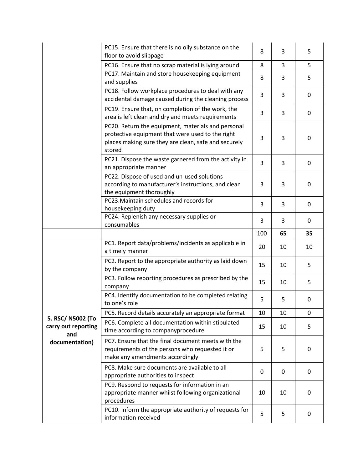|                                          | PC15. Ensure that there is no oily substance on the<br>floor to avoid slippage                                                                                           | 8   | 3  | 5            |
|------------------------------------------|--------------------------------------------------------------------------------------------------------------------------------------------------------------------------|-----|----|--------------|
|                                          | PC16. Ensure that no scrap material is lying around                                                                                                                      | 8   | 3  | 5            |
|                                          | PC17. Maintain and store housekeeping equipment<br>and supplies                                                                                                          | 8   | 3  | 5            |
|                                          | PC18. Follow workplace procedures to deal with any<br>accidental damage caused during the cleaning process                                                               | 3   | 3  | 0            |
|                                          | PC19. Ensure that, on completion of the work, the<br>area is left clean and dry and meets requirements                                                                   | 3   | 3  | 0            |
|                                          | PC20. Return the equipment, materials and personal<br>protective equipment that were used to the right<br>places making sure they are clean, safe and securely<br>stored | 3   | 3  | $\Omega$     |
|                                          | PC21. Dispose the waste garnered from the activity in<br>an appropriate manner                                                                                           | 3   | 3  | 0            |
|                                          | PC22. Dispose of used and un-used solutions<br>according to manufacturer's instructions, and clean<br>the equipment thoroughly                                           | 3   | 3  | 0            |
|                                          | PC23. Maintain schedules and records for<br>housekeeping duty                                                                                                            | 3   | 3  | 0            |
|                                          | PC24. Replenish any necessary supplies or<br>consumables                                                                                                                 | 3   | 3  | $\mathbf{0}$ |
|                                          |                                                                                                                                                                          |     |    |              |
|                                          |                                                                                                                                                                          | 100 | 65 | 35           |
|                                          | PC1. Report data/problems/incidents as applicable in<br>a timely manner                                                                                                  | 20  | 10 | 10           |
|                                          | PC2. Report to the appropriate authority as laid down<br>by the company                                                                                                  | 15  | 10 | 5            |
|                                          | PC3. Follow reporting procedures as prescribed by the<br>company                                                                                                         | 15  | 10 | 5            |
|                                          | PC4. Identify documentation to be completed relating<br>to one's role                                                                                                    | 5   | 5  | 0            |
|                                          | PC5. Record details accurately an appropriate format                                                                                                                     | 10  | 10 | $\mathbf 0$  |
| 5. RSC/ N5002 (To<br>carry out reporting | PC6. Complete all documentation within stipulated<br>time according to companyprocedure                                                                                  | 15  | 10 | 5            |
| and<br>documentation)                    | PC7. Ensure that the final document meets with the<br>requirements of the persons who requested it or<br>make any amendments accordingly                                 | 5   | 5  | 0            |
|                                          | PC8. Make sure documents are available to all<br>appropriate authorities to inspect                                                                                      | 0   | 0  | $\mathbf{0}$ |
|                                          | PC9. Respond to requests for information in an<br>appropriate manner whilst following organizational<br>procedures                                                       | 10  | 10 | 0            |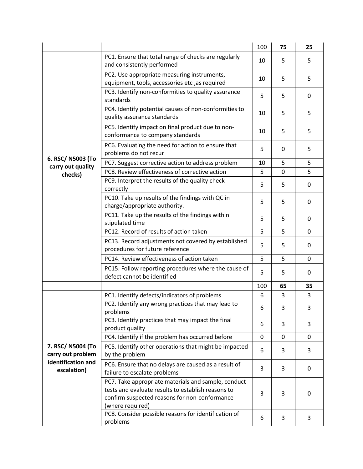|                                        |                                                                                                                                                                                | 100         | 75 | 25 |
|----------------------------------------|--------------------------------------------------------------------------------------------------------------------------------------------------------------------------------|-------------|----|----|
|                                        | PC1. Ensure that total range of checks are regularly<br>and consistently performed                                                                                             | 10          | 5  | 5  |
|                                        | PC2. Use appropriate measuring instruments,<br>equipment, tools, accessories etc, as required                                                                                  | 10          | 5  | 5  |
|                                        | PC3. Identify non-conformities to quality assurance<br>standards                                                                                                               | 5           | 5  | 0  |
|                                        | PC4. Identify potential causes of non-conformities to<br>quality assurance standards                                                                                           | 10          | 5  | 5  |
|                                        | PC5. Identify impact on final product due to non-<br>conformance to company standards                                                                                          | 10          | 5  | 5  |
|                                        | PC6. Evaluating the need for action to ensure that<br>problems do not recur                                                                                                    | 5           | 0  | 5  |
| 6. RSC/ N5003 (To<br>carry out quality | PC7. Suggest corrective action to address problem                                                                                                                              | 10          | 5  | 5  |
| checks)                                | PC8. Review effectiveness of corrective action                                                                                                                                 | 5           | 0  | 5  |
|                                        | PC9. Interpret the results of the quality check<br>correctly                                                                                                                   | 5           | 5  | 0  |
|                                        | PC10. Take up results of the findings with QC in<br>charge/appropriate authority.                                                                                              | 5           | 5  | 0  |
|                                        | PC11. Take up the results of the findings within<br>stipulated time                                                                                                            | 5           | 5  | 0  |
|                                        | PC12. Record of results of action taken                                                                                                                                        | 5           | 5  | 0  |
|                                        | PC13. Record adjustments not covered by established<br>procedures for future reference                                                                                         | 5           | 5  | 0  |
|                                        | PC14. Review effectiveness of action taken                                                                                                                                     | 5           | 5  | 0  |
|                                        | PC15. Follow reporting procedures where the cause of<br>defect cannot be identified                                                                                            | 5           | 5  | 0  |
|                                        |                                                                                                                                                                                | 100         | 65 | 35 |
|                                        | PC1. Identify defects/indicators of problems                                                                                                                                   | 6           | 3  | 3  |
|                                        | PC2. Identify any wrong practices that may lead to<br>problems                                                                                                                 | 6           | 3  | 3  |
|                                        | PC3. Identify practices that may impact the final<br>product quality                                                                                                           | 6           | 3  | 3  |
|                                        | PC4. Identify if the problem has occurred before                                                                                                                               | $\mathbf 0$ | 0  | 0  |
| 7. RSC/ N5004 (To<br>carry out problem | PC5. Identify other operations that might be impacted<br>by the problem                                                                                                        | 6           | 3  | 3  |
| identification and<br>escalation)      | PC6. Ensure that no delays are caused as a result of<br>failure to escalate problems                                                                                           | 3           | 3  | 0  |
|                                        | PC7. Take appropriate materials and sample, conduct<br>tests and evaluate results to establish reasons to<br>confirm suspected reasons for non-conformance<br>(where required) | 3           | 3  | 0  |
|                                        | PC8. Consider possible reasons for identification of<br>problems                                                                                                               | 6           | 3  | 3  |